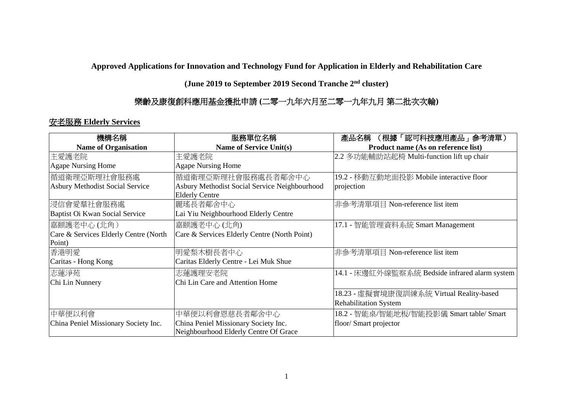**Approved Applications for Innovation and Technology Fund for Application in Elderly and Rehabilitation Care** 

**(June 2019 to September 2019 Second Tranche 2nd cluster)**

## 樂齡及康復創科應用基金獲批申請 **(**二零一九年六月至二零一九年九月 第二批次次輪**)**

## 安老服務 **Elderly Services**

| 機構名稱                                         | 服務單位名稱                                                                 | (根據「認可科技應用產品」參考清單)<br>產品名稱                     |
|----------------------------------------------|------------------------------------------------------------------------|------------------------------------------------|
| <b>Name of Organisation</b>                  | Name of Service Unit(s)                                                | Product name (As on reference list)            |
| 主愛護老院                                        | 主愛護老院                                                                  | 2.2 多功能輔助站起椅 Multi-function lift up chair      |
| <b>Agape Nursing Home</b>                    | <b>Agape Nursing Home</b>                                              |                                                |
| 循道衛理亞斯理社會服務處                                 | 循道衛理亞斯理社會服務處長者鄰舍中心                                                     | 19.2 - 移動互動地面投影 Mobile interactive floor       |
| Asbury Methodist Social Service              | Asbury Methodist Social Service Neighbourhood<br><b>Elderly Centre</b> | projection                                     |
| 浸信會愛羣社會服務處<br>Baptist Oi Kwan Social Service | 麗瑤長者鄰舍中心<br>Lai Yiu Neighbourhood Elderly Centre                       | 非參考清單項目 Non-reference list item                |
| 嘉颐護老中心(北角)                                   | 嘉颐護老中心(北角)                                                             | 17.1 - 智能管理資料系統 Smart Management               |
| Care & Services Elderly Centre (North        | Care & Services Elderly Centre (North Point)                           |                                                |
| Point)                                       |                                                                        |                                                |
| 香港明愛                                         | 明愛梨木樹長者中心                                                              | 非參考清單項目 Non-reference list item                |
| Caritas - Hong Kong                          | Caritas Elderly Centre - Lei Muk Shue                                  |                                                |
| 志蓮淨苑                                         | 志蓮護理安老院                                                                | 14.1 - 床邊紅外線監察系統 Bedside infrared alarm system |
| Chi Lin Nunnery                              | Chi Lin Care and Attention Home                                        |                                                |
|                                              |                                                                        | 18.23 - 虛擬實境康復訓練系統 Virtual Reality-based       |
|                                              |                                                                        | <b>Rehabilitation System</b>                   |
| 中華便以利會                                       | 中華便以利會恩慈長者鄰舍中心                                                         | 18.2 - 智能桌/智能地板/智能投影儀 Smart table/ Smart       |
| China Peniel Missionary Society Inc.         | China Peniel Missionary Society Inc.                                   | floor/ Smart projector                         |
|                                              | Neighbourhood Elderly Centre Of Grace                                  |                                                |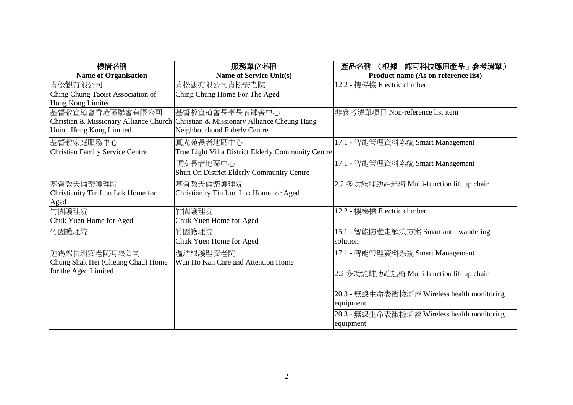| 機構名稱                                   | 服務單位名稱                                                                             | (根據「認可科技應用產品」参考清單)<br>產品名稱                  |
|----------------------------------------|------------------------------------------------------------------------------------|---------------------------------------------|
| <b>Name of Organisation</b>            | <b>Name of Service Unit(s)</b>                                                     | Product name (As on reference list)         |
| 青松觀有限公司                                | 青松觀有限公司青松安老院                                                                       | 12.2 - 樓梯機 Electric climber                 |
| Ching Chung Taoist Association of      | Ching Chung Home For The Aged                                                      |                                             |
| Hong Kong Limited                      |                                                                                    |                                             |
| 基督教宣道會香港區聯會有限公司                        | 基督教宣道會長亨長者鄰舍中心                                                                     | 非參考清單項目 Non-reference list item             |
|                                        | Christian & Missionary Alliance Church Christian & Missionary Alliance Cheung Hang |                                             |
| Union Hong Kong Limited                | Neighbourhood Elderly Centre                                                       |                                             |
| 基督教家庭服務中心                              | 真光苑長者地區中心                                                                          | 17.1 - 智能管理資料系統 Smart Management            |
| <b>Christian Family Service Centre</b> | True Light Villa District Elderly Community Centre                                 |                                             |
|                                        | 順安長者地區中心                                                                           | 17.1 - 智能管理資料系統 Smart Management            |
|                                        | Shun On District Elderly Community Centre                                          |                                             |
| 基督教天倫樂護理院                              | 基督教天倫樂護理院                                                                          | 2.2 多功能輔助站起椅 Multi-function lift up chair   |
| Christianity Tin Lun Lok Home for      | Christianity Tin Lun Lok Home for Aged                                             |                                             |
| Aged                                   |                                                                                    |                                             |
| 竹園護理院                                  | 竹園護理院                                                                              | 12.2 - 樓梯機 Electric climber                 |
| Chuk Yuen Home for Aged                | Chuk Yuen Home for Aged                                                            |                                             |
| 竹園護理院                                  | 竹園護理院                                                                              | 15.1 - 智能防遊走解決方案 Smart anti- wandering      |
|                                        | Chuk Yuen Home for Aged                                                            | solution                                    |
| 鍾錫熙長洲安老院有限公司                           | 温浩根護理安老院                                                                           | 17.1 - 智能管理資料系統 Smart Management            |
| Chung Shak Hei (Cheung Chau) Home      | Wan Ho Kan Care and Attention Home                                                 |                                             |
| for the Aged Limited                   |                                                                                    | 2.2 多功能輔助站起椅 Multi-function lift up chair   |
|                                        |                                                                                    |                                             |
|                                        |                                                                                    | 20.3 - 無線生命表徵檢測器 Wireless health monitoring |
|                                        |                                                                                    | equipment                                   |
|                                        |                                                                                    | 20.3 - 無線生命表徵檢測器 Wireless health monitoring |
|                                        |                                                                                    | equipment                                   |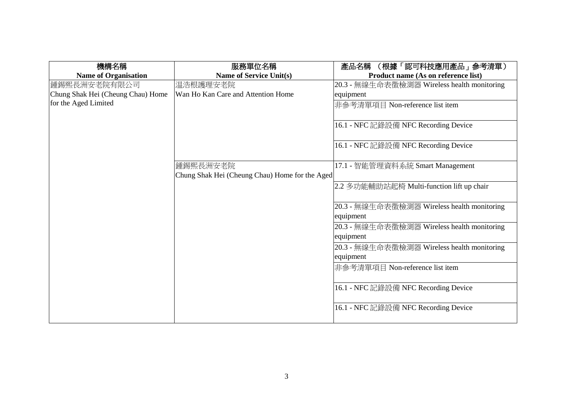| 機構名稱                              | 服務單位名稱                                                     | (根據「認可科技應用產品」 参考清單)<br>產品名稱                               |
|-----------------------------------|------------------------------------------------------------|-----------------------------------------------------------|
| <b>Name of Organisation</b>       | <b>Name of Service Unit(s)</b>                             | Product name (As on reference list)                       |
| 鍾錫熙長洲安老院有限公司                      | 温浩根護理安老院                                                   | 20.3 - 無線生命表徵檢測器 Wireless health monitoring               |
| Chung Shak Hei (Cheung Chau) Home | Wan Ho Kan Care and Attention Home                         | equipment                                                 |
| for the Aged Limited              |                                                            | 非參考清單項目 Non-reference list item                           |
|                                   |                                                            | 16.1 - NFC 記錄設備 NFC Recording Device                      |
|                                   |                                                            | 16.1 - NFC 記錄設備 NFC Recording Device                      |
|                                   | 鍾錫熙長洲安老院<br>Chung Shak Hei (Cheung Chau) Home for the Aged | 17.1 - 智能管理資料系統 Smart Management                          |
|                                   |                                                            | 2.2 多功能輔助站起椅 Multi-function lift up chair                 |
|                                   |                                                            | [20.3 - 無線生命表徵檢測器 Wireless health monitoring<br>equipment |
|                                   |                                                            | [20.3 - 無線生命表徵檢測器 Wireless health monitoring              |
|                                   |                                                            | equipment                                                 |
|                                   |                                                            | 20.3 - 無線生命表徵檢測器 Wireless health monitoring               |
|                                   |                                                            | equipment                                                 |
|                                   |                                                            | 非參考清單項目 Non-reference list item                           |
|                                   |                                                            | 16.1 - NFC記錄設備 NFC Recording Device                       |
|                                   |                                                            | 16.1 - NFC 記錄設備 NFC Recording Device                      |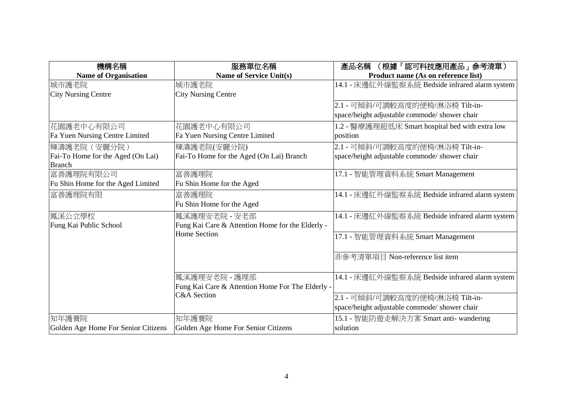| 機構名稱                                | 服務單位名稱                                           | (根據「認可科技應用產品」参考清單)<br>產品名稱                      |
|-------------------------------------|--------------------------------------------------|-------------------------------------------------|
| <b>Name of Organisation</b>         | <b>Name of Service Unit(s)</b>                   | Product name (As on reference list)             |
| 城市護老院                               | 城市護老院                                            | 14.1 - 床邊紅外線監察系統 Bedside infrared alarm system  |
| <b>City Nursing Centre</b>          | <b>City Nursing Centre</b>                       |                                                 |
|                                     |                                                  | 2.1 - 可傾斜/可調較高度的便椅/淋浴椅 Tilt-in-                 |
|                                     |                                                  | space/height adjustable commode/ shower chair   |
| 花園護老中心有限公司                          | 花園護老中心有限公司                                       | 1.2 - 醫療護理超低床 Smart hospital bed with extra low |
| Fa Yuen Nursing Centre Limited      | Fa Yuen Nursing Centre Limited                   | position                                        |
| 輝濤護老院 (安麗分院)                        | 輝濤護老院(安麗分院)                                      | 2.1 - 可傾斜/可調較高度的便椅/淋浴椅 Tilt-in-                 |
| Fai-To Home for the Aged (On Lai)   | Fai-To Home for the Aged (On Lai) Branch         | space/height adjustable commode/ shower chair   |
| <b>Branch</b>                       |                                                  |                                                 |
| 富善護理院有限公司                           | 富善護理院                                            | 17.1 - 智能管理資料系統 Smart Management                |
| Fu Shin Home for the Aged Limited   | Fu Shin Home for the Aged                        |                                                 |
| 富善護理院有限                             | 富善護理院                                            | 14.1 - 床邊紅外線監察系統 Bedside infrared alarm system  |
|                                     | Fu Shin Home for the Aged                        |                                                 |
| 鳳溪公立學校                              | 鳳溪護理安老院 - 安老部                                    | 14.1 - 床邊紅外線監察系統 Bedside infrared alarm system  |
| Fung Kai Public School              | Fung Kai Care & Attention Home for the Elderly - |                                                 |
|                                     | <b>Home Section</b>                              | 17.1 - 智能管理資料系統 Smart Management                |
|                                     |                                                  |                                                 |
|                                     |                                                  | 非參考清單項目 Non-reference list item                 |
|                                     |                                                  |                                                 |
|                                     | 鳳溪護理安老院 - 護理部                                    | 14.1 - 床邊紅外線監察系統 Bedside infrared alarm system  |
|                                     | Fung Kai Care & Attention Home For The Elderly - |                                                 |
|                                     | <b>C&amp;A</b> Section                           | 2.1 - 可傾斜/可調較高度的便椅/淋浴椅 Tilt-in-                 |
|                                     |                                                  | space/height adjustable commode/ shower chair   |
| 知年護養院                               | 知年護養院                                            | 15.1 - 智能防遊走解決方案 Smart anti- wandering          |
| Golden Age Home For Senior Citizens | Golden Age Home For Senior Citizens              | solution                                        |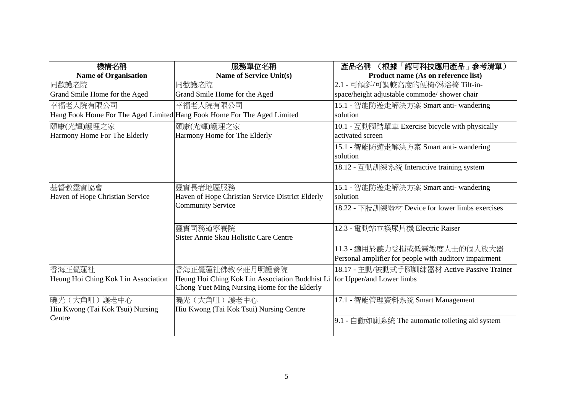| 機構名稱                                | 服務單位名稱                                                                  | 產品名稱<br>(根據「認可科技應用產品」 参考清單)                            |
|-------------------------------------|-------------------------------------------------------------------------|--------------------------------------------------------|
| <b>Name of Organisation</b>         | <b>Name of Service Unit(s)</b>                                          | Product name (As on reference list)                    |
| 同歡護老院                               | 同歡護老院                                                                   | 2.1 - 可傾斜/可調較高度的便椅/淋浴椅 Tilt-in-                        |
| Grand Smile Home for the Aged       | Grand Smile Home for the Aged                                           | space/height adjustable commode/ shower chair          |
| 幸福老人院有限公司                           | 幸福老人院有限公司                                                               | 15.1 - 智能防遊走解決方案 Smart anti- wandering                 |
|                                     | Hang Fook Home For The Aged Limited Hang Fook Home For The Aged Limited | solution                                               |
| 頤康(光輝)護理之家                          | 頤康(光輝)護理之家                                                              | 10.1 - 互動腳踏單車 Exercise bicycle with physically         |
| Harmony Home For The Elderly        | Harmony Home for The Elderly                                            | activated screen                                       |
|                                     |                                                                         | 15.1 - 智能防遊走解決方案 Smart anti- wandering                 |
|                                     |                                                                         | solution                                               |
|                                     |                                                                         | 18.12 - 互動訓練系統 Interactive training system             |
|                                     |                                                                         |                                                        |
| 基督教靈實協會                             | 靈實長者地區服務                                                                | 15.1 - 智能防遊走解決方案 Smart anti- wandering                 |
| Haven of Hope Christian Service     | Haven of Hope Christian Service District Elderly                        | solution                                               |
|                                     | Community Service                                                       | 18.22 - 下肢訓練器材 Device for lower limbs exercises        |
|                                     |                                                                         |                                                        |
|                                     | 靈實司務道寧養院                                                                | 12.3 - 電動站立換尿片機 Electric Raiser                        |
|                                     | Sister Annie Skau Holistic Care Centre                                  |                                                        |
|                                     |                                                                         | 11.3 - 適用於聽力受損或低靈敏度人士的個人放大器                            |
|                                     |                                                                         | Personal amplifier for people with auditory impairment |
| 香海正覺蓮社                              | 香海正覺蓮社佛教李莊月明護養院                                                         | 18.17 - 主動/被動式手腳訓練器材 Active Passive Trainer            |
| Heung Hoi Ching Kok Lin Association | Heung Hoi Ching Kok Lin Association Buddhist Li                         | for Upper/and Lower limbs                              |
|                                     | Chong Yuet Ming Nursing Home for the Elderly                            |                                                        |
| 曉光(大角咀)護老中心                         | 曉光(大角咀)護老中心                                                             | 17.1 - 智能管理資料系統 Smart Management                       |
| Hiu Kwong (Tai Kok Tsui) Nursing    | Hiu Kwong (Tai Kok Tsui) Nursing Centre                                 |                                                        |
| Centre                              |                                                                         | 9.1 - 自動如廁系統 The automatic toileting aid system        |
|                                     |                                                                         |                                                        |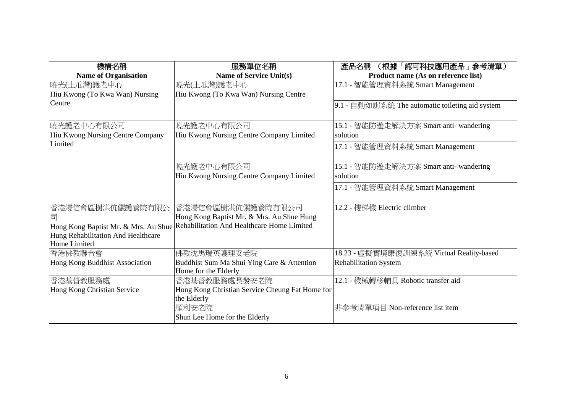| 機構名稱                                               | 服務單位名稱                                                             | (根據「認可科技應用產品」参考清單)<br>產品名稱                      |
|----------------------------------------------------|--------------------------------------------------------------------|-------------------------------------------------|
| <b>Name of Organisation</b>                        | Name of Service Unit(s)                                            | Product name (As on reference list)             |
| 曉光(土瓜灣)護老中心                                        | 曉光(土瓜灣)護老中心                                                        | 17.1 - 智能管理資料系統 Smart Management                |
| Hiu Kwong (To Kwa Wan) Nursing                     | Hiu Kwong (To Kwa Wan) Nursing Centre                              |                                                 |
| Centre                                             |                                                                    | 9.1 - 自動如廁系統 The automatic toileting aid system |
| 曉光護老中心有限公司                                         | 曉光護老中心有限公司                                                         | 15.1 - 智能防遊走解決方案 Smart anti- wandering          |
| Hiu Kwong Nursing Centre Company                   | Hiu Kwong Nursing Centre Company Limited                           | solution                                        |
| Limited                                            |                                                                    | 17.1 - 智能管理資料系統 Smart Management                |
|                                                    | 曉光護老中心有限公司                                                         | 15.1 - 智能防遊走解決方案 Smart anti- wandering          |
|                                                    | Hiu Kwong Nursing Centre Company Limited                           | solution                                        |
|                                                    |                                                                    | 17.1 - 智能管理資料系統 Smart Management                |
| 香港浸信會區樹洪伉儷護養院有限公                                   | 香港浸信會區樹洪伉儷護養院有限公司                                                  | 12.2 - 樓梯機 Electric climber                     |
|                                                    | Hong Kong Baptist Mr. & Mrs. Au Shue Hung                          |                                                 |
| Hong Kong Baptist Mr. & Mrs. Au Shue               | Rehabilitation And Healthcare Home Limited                         |                                                 |
| Hung Rehabilitation And Healthcare<br>Home Limited |                                                                    |                                                 |
| 香港佛教聯合會                                            | 佛教沈馬瑞英護理安老院                                                        | 18.23 - 虛擬實境康復訓練系統 Virtual Reality-based        |
| Hong Kong Buddhist Association                     | Buddhist Sum Ma Shui Ying Care & Attention<br>Home for the Elderly | <b>Rehabilitation System</b>                    |
| 香港基督教服務處                                           | 香港基督教服務處長發安老院                                                      | 12.1 - 機械轉移輔具 Robotic transfer aid              |
| Hong Kong Christian Service                        | Hong Kong Christian Service Cheung Fat Home for<br>the Elderly     |                                                 |
|                                                    | 順利安老院                                                              | 非參考清單項目 Non-reference list item                 |
|                                                    | Shun Lee Home for the Elderly                                      |                                                 |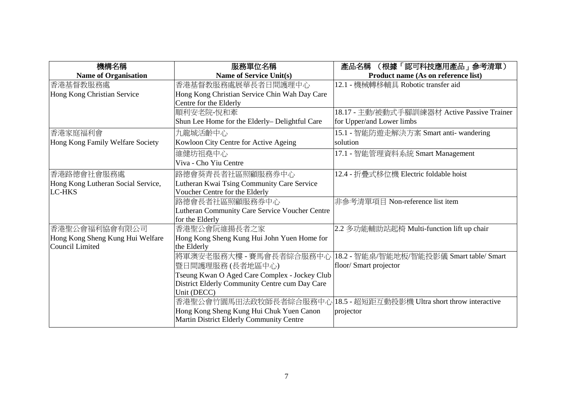| 機構名稱                               | 服務單位名稱                                         | (根據「認可科技應用產品」 参考清單)<br>產品名稱                   |
|------------------------------------|------------------------------------------------|-----------------------------------------------|
| <b>Name of Organisation</b>        | <b>Name of Service Unit(s)</b>                 | Product name (As on reference list)           |
| 香港基督教服務處                           | 香港基督教服務處展華長者日間護理中心                             | 12.1 - 機械轉移輔具 Robotic transfer aid            |
| Hong Kong Christian Service        | Hong Kong Christian Service Chin Wah Day Care  |                                               |
|                                    | Centre for the Elderly                         |                                               |
|                                    | 順利安老院-悅和牽                                      | 18.17 - 主動/被動式手腳訓練器材 Active Passive Trainer   |
|                                    | Shun Lee Home for the Elderly-Delightful Care  | for Upper/and Lower limbs                     |
| 香港家庭福利會                            | 九龍城活齡中心                                        | 15.1 - 智能防遊走解決方案 Smart anti- wandering        |
| Hong Kong Family Welfare Society   | Kowloon City Centre for Active Ageing          | solution                                      |
|                                    | 維健坊祖堯中心                                        | 17.1 - 智能管理資料系統 Smart Management              |
|                                    | Viva - Cho Yiu Centre                          |                                               |
| 香港路德會社會服務處                         | 路德會葵青長者社區照顧服務券中心                               | 12.4 - 折疊式移位機 Electric foldable hoist         |
| Hong Kong Lutheran Social Service, | Lutheran Kwai Tsing Community Care Service     |                                               |
| <b>LC-HKS</b>                      | Voucher Centre for the Elderly                 |                                               |
|                                    | 路德會長者社區照顧服務券中心                                 | 非參考清單項目 Non-reference list item               |
|                                    | Lutheran Community Care Service Voucher Centre |                                               |
|                                    | for the Elderly                                |                                               |
| 香港聖公會福利協會有限公司                      | 香港聖公會阮維揚長者之家                                   | 2.2 多功能輔助站起椅 Multi-function lift up chair     |
| Hong Kong Sheng Kung Hui Welfare   | Hong Kong Sheng Kung Hui John Yuen Home for    |                                               |
| Council Limited                    | the Elderly                                    |                                               |
|                                    | 將軍澳安老服務大樓 - 賽馬會長者綜合服務中心                        | 18.2 - 智能桌/智能地板/智能投影儀 Smart table/ Smart      |
|                                    | 暨日間護理服務 (長者地區中心)                               | floor/Smart projector                         |
|                                    | Tseung Kwan O Aged Care Complex - Jockey Club  |                                               |
|                                    | District Elderly Community Centre cum Day Care |                                               |
|                                    | Unit (DECC)                                    |                                               |
|                                    | 香港聖公會竹園馬田法政牧師長者綜合服務中心                          | 18.5 - 超短距互動投影機 Ultra short throw interactive |
|                                    | Hong Kong Sheng Kung Hui Chuk Yuen Canon       | projector                                     |
|                                    | Martin District Elderly Community Centre       |                                               |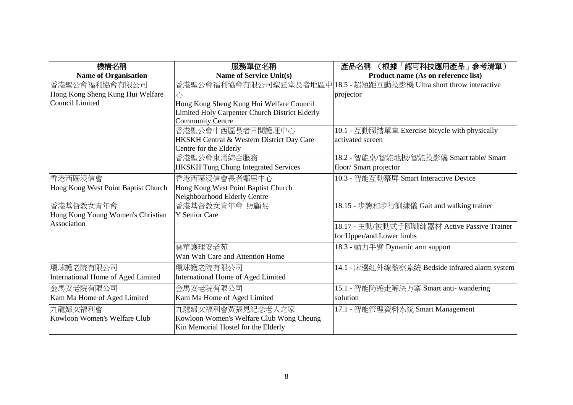| 機構名稱                                | 服務單位名稱                                         | (根據「認可科技應用產品」 参考清單)<br>產品名稱                    |
|-------------------------------------|------------------------------------------------|------------------------------------------------|
| <b>Name of Organisation</b>         | Name of Service Unit(s)                        | Product name (As on reference list)            |
| 香港聖公會福利協會有限公司                       | 香港聖公會福利協會有限公司聖匠堂長者地區中                          | 18.5 - 超短距互動投影機 Ultra short throw interactive  |
| Hong Kong Sheng Kung Hui Welfare    | 心                                              | projector                                      |
| Council Limited                     | Hong Kong Sheng Kung Hui Welfare Council       |                                                |
|                                     | Limited Holy Carpenter Church District Elderly |                                                |
|                                     | <b>Community Centre</b>                        |                                                |
|                                     | 香港聖公會中西區長者日間護理中心                               | 10.1 - 互動腳踏單車 Exercise bicycle with physically |
|                                     | HKSKH Central & Western District Day Care      | activated screen                               |
|                                     | Centre for the Elderly                         |                                                |
|                                     | 香港聖公會東涌綜合服務                                    | 18.2 - 智能桌/智能地板/智能投影儀 Smart table/ Smart       |
|                                     | <b>HKSKH Tung Chung Integrated Services</b>    | floor/ Smart projector                         |
| 香港西區浸信會                             | 香港西區浸信會長者鄰里中心                                  | 10.3 - 智能互動幕屏 Smart Interactive Device         |
| Hong Kong West Point Baptist Church | Hong Kong West Point Baptist Church            |                                                |
|                                     | Neighbourhood Elderly Centre                   |                                                |
| 香港基督教女青年會                           | 香港基督教女青年會 照顧易                                  | 18.15 - 步態和步行訓練儀 Gait and walking trainer      |
| Hong Kong Young Women's Christian   | <b>Y</b> Senior Care                           |                                                |
| Association                         |                                                | 18.17 - 主動/被動式手腳訓練器材 Active Passive Trainer    |
|                                     |                                                | for Upper/and Lower limbs                      |
|                                     | 雲華護理安老苑                                        | 18.3 - 動力手臂 Dynamic arm support                |
|                                     | Wan Wah Care and Attention Home                |                                                |
| 環球護老院有限公司                           | 環球護老院有限公司                                      | 14.1 - 床邊紅外線監察系統 Bedside infrared alarm system |
| International Home of Aged Limited  | International Home of Aged Limited             |                                                |
| 金馬安老院有限公司                           | 金馬安老院有限公司                                      | 15.1 - 智能防遊走解決方案 Smart anti- wandering         |
| Kam Ma Home of Aged Limited         | Kam Ma Home of Aged Limited                    | solution                                       |
| 九龍婦女福利會                             | 九龍婦女福利會黃張見紀念老人之家                               | 17.1 - 智能管理資料系統 Smart Management               |
| Kowloon Women's Welfare Club        | Kowloon Women's Welfare Club Wong Cheung       |                                                |
|                                     | Kin Memorial Hostel for the Elderly            |                                                |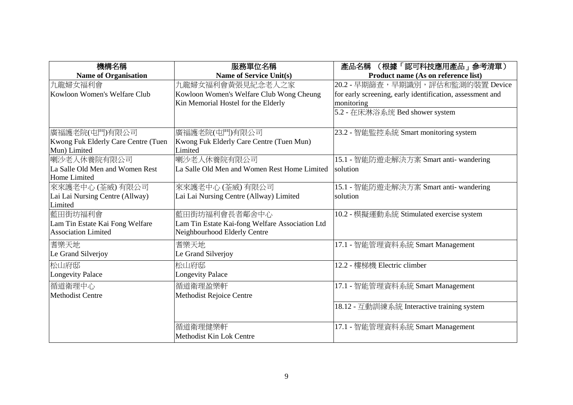| 機構名稱                                                                     | 服務單位名稱                                                                                              | 產品名稱<br>(根據「認可科技應用產品」参考清單)                                                                                                                      |
|--------------------------------------------------------------------------|-----------------------------------------------------------------------------------------------------|-------------------------------------------------------------------------------------------------------------------------------------------------|
| <b>Name of Organisation</b>                                              | <b>Name of Service Unit(s)</b>                                                                      | Product name (As on reference list)                                                                                                             |
| 九龍婦女福利會<br>Kowloon Women's Welfare Club                                  | 九龍婦女福利會黃張見紀念老人之家<br>Kowloon Women's Welfare Club Wong Cheung<br>Kin Memorial Hostel for the Elderly | 20.2 - 早期篩查, 早期識別, 評估和監測的裝置 Device<br>for early screening, early identification, assessment and<br>monitoring<br>5.2 - 在床淋浴系统 Bed shower system |
| 廣福護老院(屯門)有限公司<br>Kwong Fuk Elderly Care Centre (Tuen<br>Mun) Limited     | 廣福護老院(屯門)有限公司<br>Kwong Fuk Elderly Care Centre (Tuen Mun)<br>Limited                                | 23.2 - 智能監控系統 Smart monitoring system                                                                                                           |
| 喇沙老人休養院有限公司<br>La Salle Old Men and Women Rest<br>Home Limited           | 喇沙老人休養院有限公司<br>La Salle Old Men and Women Rest Home Limited                                         | 15.1 - 智能防遊走解決方案 Smart anti- wandering<br>solution                                                                                              |
| 來來護老中心 (荃威) 有限公司<br>Lai Lai Nursing Centre (Allway)<br>Limited           | 來來護老中心(荃威)有限公司<br>Lai Lai Nursing Centre (Allway) Limited                                           | 15.1 - 智能防遊走解決方案 Smart anti- wandering<br>solution                                                                                              |
| 藍田街坊福利會<br>Lam Tin Estate Kai Fong Welfare<br><b>Association Limited</b> | 藍田街坊福利會長者鄰舍中心<br>Lam Tin Estate Kai-fong Welfare Association Ltd<br>Neighbourhood Elderly Centre    | 10.2 - 模擬運動系統 Stimulated exercise system                                                                                                        |
| 耆樂天地<br>Le Grand Silverjoy                                               | 耆樂天地<br>Le Grand Silverjoy                                                                          | 17.1 - 智能管理資料系統 Smart Management                                                                                                                |
| 松山府邸<br>Longevity Palace                                                 | 松山府邸<br><b>Longevity Palace</b>                                                                     | 12.2 - 樓梯機 Electric climber                                                                                                                     |
| 循道衛理中心<br>Methodist Centre                                               | 循道衛理盈樂軒<br>Methodist Rejoice Centre                                                                 | 17.1 - 智能管理資料系統 Smart Management                                                                                                                |
|                                                                          |                                                                                                     | 18.12 - 互動訓練系統 Interactive training system                                                                                                      |
|                                                                          | 循道衛理健樂軒<br>Methodist Kin Lok Centre                                                                 | 17.1 - 智能管理資料系統 Smart Management                                                                                                                |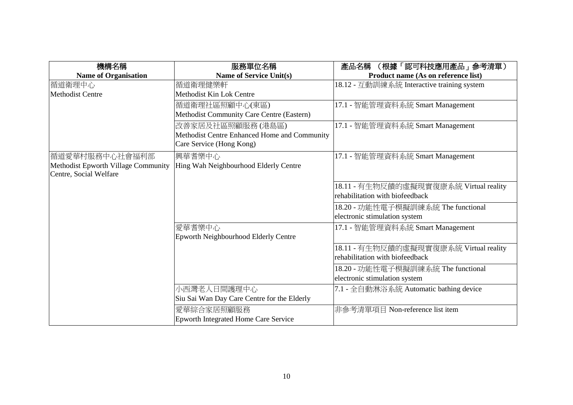| 機構名稱                                | 服務單位名稱                                       | (根據「認可科技應用產品」 参考清單)<br>產品名稱                |
|-------------------------------------|----------------------------------------------|--------------------------------------------|
| <b>Name of Organisation</b>         | <b>Name of Service Unit(s)</b>               | Product name (As on reference list)        |
| 循道衛理中心                              | 循道衛理健樂軒                                      | 18.12 - 互動訓練系統 Interactive training system |
| <b>Methodist Centre</b>             | Methodist Kin Lok Centre                     |                                            |
|                                     | 循道衛理社區照顧中心(東區)                               | 17.1 - 智能管理資料系統 Smart Management           |
|                                     | Methodist Community Care Centre (Eastern)    |                                            |
|                                     | 改善家居及社區照顧服務 (港島區)                            | 17.1 - 智能管理資料系統 Smart Management           |
|                                     | Methodist Centre Enhanced Home and Community |                                            |
|                                     | Care Service (Hong Kong)                     |                                            |
| 循道愛華村服務中心社會福利部                      | 興華耆樂中心                                       | 17.1 - 智能管理資料系統 Smart Management           |
| Methodist Epworth Village Community | Hing Wah Neighbourhood Elderly Centre        |                                            |
| Centre, Social Welfare              |                                              |                                            |
|                                     |                                              | 18.11 - 有生物反饋的虛擬現實復康系統 Virtual reality     |
|                                     |                                              | rehabilitation with biofeedback            |
|                                     |                                              | 18.20 - 功能性電子模擬訓練系統 The functional         |
|                                     |                                              | electronic stimulation system              |
|                                     | 愛華耆樂中心                                       | 17.1 - 智能管理資料系統 Smart Management           |
|                                     | Epworth Neighbourhood Elderly Centre         |                                            |
|                                     |                                              | 18.11 - 有生物反饋的虛擬現實復康系統 Virtual reality     |
|                                     |                                              | rehabilitation with biofeedback            |
|                                     |                                              | 18.20 - 功能性電子模擬訓練系統 The functional         |
|                                     |                                              | electronic stimulation system              |
|                                     | 小西灣老人日間護理中心                                  | 7.1 - 全自動淋浴系統 Automatic bathing device     |
|                                     | Siu Sai Wan Day Care Centre for the Elderly  |                                            |
|                                     | 愛華綜合家居照顧服務                                   | 非參考清單項目 Non-reference list item            |
|                                     | <b>Epworth Integrated Home Care Service</b>  |                                            |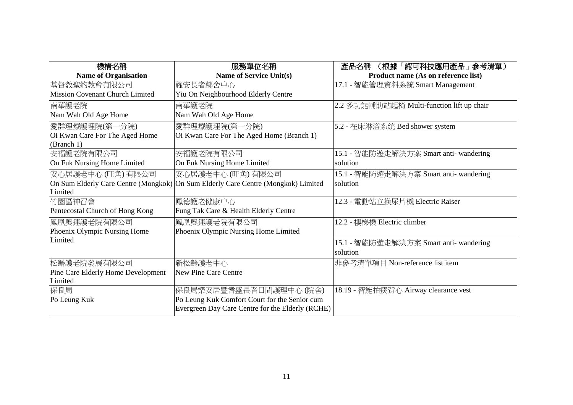| 機構名稱                                   | 服務單位名稱                                                                            | (根據「認可科技應用產品」参考清單)<br>產品名稱                |
|----------------------------------------|-----------------------------------------------------------------------------------|-------------------------------------------|
| <b>Name of Organisation</b>            | <b>Name of Service Unit(s)</b>                                                    | Product name (As on reference list)       |
| 基督教聖約教會有限公司                            | 耀安長者鄰舍中心                                                                          | 17.1 - 智能管理資料系統 Smart Management          |
| <b>Mission Covenant Church Limited</b> | Yiu On Neighbourhood Elderly Centre                                               |                                           |
| 南華護老院                                  | 南華護老院                                                                             | 2.2 多功能輔助站起椅 Multi-function lift up chair |
| Nam Wah Old Age Home                   | Nam Wah Old Age Home                                                              |                                           |
| 愛群理療護理院(第一分院)                          | 愛群理療護理院(第一分院)                                                                     | 5.2 - 在床淋浴系统 Bed shower system            |
| Oi Kwan Care For The Aged Home         | Oi Kwan Care For The Aged Home (Branch 1)                                         |                                           |
| (Branch 1)                             |                                                                                   |                                           |
| 安福護老院有限公司                              | 安福護老院有限公司                                                                         | 15.1 - 智能防遊走解決方案 Smart anti- wandering    |
| On Fuk Nursing Home Limited            | On Fuk Nursing Home Limited                                                       | solution                                  |
| 安心居護老中心 (旺角) 有限公司                      | 安心居護老中心 (旺角) 有限公司                                                                 | 15.1 - 智能防遊走解決方案 Smart anti- wandering    |
|                                        | On Sum Elderly Care Centre (Mongkok) On Sum Elderly Care Centre (Mongkok) Limited | solution                                  |
| Limited                                |                                                                                   |                                           |
| 竹園區神召會                                 | 鳳德護老健康中心                                                                          | 12.3 - 電動站立換尿片機 Electric Raiser           |
| Pentecostal Church of Hong Kong        | Fung Tak Care & Health Elderly Centre                                             |                                           |
| 鳳凰奧運護老院有限公司                            | 鳳凰奧運護老院有限公司                                                                       | 12.2 - 樓梯機 Electric climber               |
| Phoenix Olympic Nursing Home           | Phoenix Olympic Nursing Home Limited                                              |                                           |
| Limited                                |                                                                                   | 15.1 - 智能防遊走解決方案 Smart anti- wandering    |
|                                        |                                                                                   | solution                                  |
| 松齡護老院發展有限公司                            | 新松齡護老中心                                                                           | 非參考清單項目 Non-reference list item           |
| Pine Care Elderly Home Development     | New Pine Care Centre                                                              |                                           |
| Limited                                |                                                                                   |                                           |
| 保良局                                    | 保良局樂安居暨耆盛長者日間護理中心 (院舍)                                                            | 18.19 - 智能拍痰背心 Airway clearance vest      |
| Po Leung Kuk                           | Po Leung Kuk Comfort Court for the Senior cum                                     |                                           |
|                                        | Evergreen Day Care Centre for the Elderly (RCHE)                                  |                                           |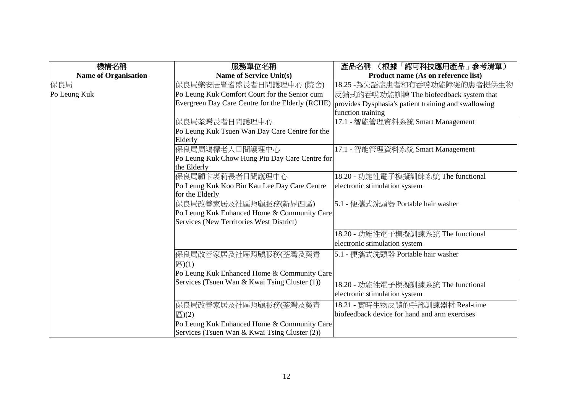| 機構名稱                        | 服務單位名稱                                           | (根據「認可科技應用產品」参考清單)<br>產品名稱                           |
|-----------------------------|--------------------------------------------------|------------------------------------------------------|
| <b>Name of Organisation</b> | <b>Name of Service Unit(s)</b>                   | Product name (As on reference list)                  |
| 保良局                         | 保良局樂安居暨耆盛長者日間護理中心 (院舍)                           | 18.25 - 為失語症患者和有吞嚥功能障礙的患者提供生物                        |
| Po Leung Kuk                | Po Leung Kuk Comfort Court for the Senior cum    | 反饋式的吞嚥功能訓練 The biofeedback system that               |
|                             | Evergreen Day Care Centre for the Elderly (RCHE) | provides Dysphasia's patient training and swallowing |
|                             |                                                  | function training                                    |
|                             | 保良局荃灣長者日間護理中心                                    | 17.1 - 智能管理資料系統 Smart Management                     |
|                             | Po Leung Kuk Tsuen Wan Day Care Centre for the   |                                                      |
|                             | Elderly                                          |                                                      |
|                             | 保良局周鴻標老人日間護理中心                                   | 17.1 - 智能管理資料系統 Smart Management                     |
|                             | Po Leung Kuk Chow Hung Piu Day Care Centre for   |                                                      |
|                             | the Elderly                                      |                                                      |
|                             | 保良局顧卞裘莉長者日間護理中心                                  | 18.20 - 功能性電子模擬訓練系統 The functional                   |
|                             | Po Leung Kuk Koo Bin Kau Lee Day Care Centre     | electronic stimulation system                        |
|                             | for the Elderly                                  |                                                      |
|                             | 保良局改善家居及社區照顧服務(新界西區)                             | 5.1 - 便攜式洗頭器 Portable hair washer                    |
|                             | Po Leung Kuk Enhanced Home & Community Care      |                                                      |
|                             | Services (New Territories West District)         |                                                      |
|                             |                                                  | 18.20 - 功能性電子模擬訓練系統 The functional                   |
|                             |                                                  | electronic stimulation system                        |
|                             | 保良局改善家居及社區照顧服務(荃灣及葵青                             | 5.1 - 便攜式洗頭器 Portable hair washer                    |
|                             | $\Xi$ )(1)                                       |                                                      |
|                             | Po Leung Kuk Enhanced Home & Community Care      |                                                      |
|                             | Services (Tsuen Wan & Kwai Tsing Cluster (1))    |                                                      |
|                             |                                                  | 18.20 - 功能性電子模擬訓練系統 The functional                   |
|                             |                                                  | electronic stimulation system                        |
|                             | 保良局改善家居及社區照顧服務(荃灣及葵青                             | 18.21 - 實時生物反饋的手部訓練器材 Real-time                      |
|                             | $\overline{E}(2)$                                | biofeedback device for hand and arm exercises        |
|                             | Po Leung Kuk Enhanced Home & Community Care      |                                                      |
|                             | Services (Tsuen Wan & Kwai Tsing Cluster (2))    |                                                      |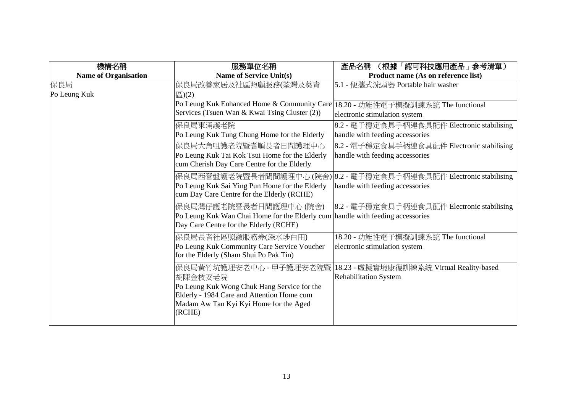| 機構名稱                        | 服務單位名稱                                                                                                                                                                    | 產品名稱<br>(根據「認可科技應用產品」参考清單)                                                    |
|-----------------------------|---------------------------------------------------------------------------------------------------------------------------------------------------------------------------|-------------------------------------------------------------------------------|
| <b>Name of Organisation</b> | Name of Service Unit(s)                                                                                                                                                   | Product name (As on reference list)                                           |
| 保良局<br>Po Leung Kuk         | 保良局改善家居及社區照顧服務(荃灣及葵青<br>$\Xi$ )(2)                                                                                                                                        | 5.1 - 便攜式洗頭器 Portable hair washer                                             |
|                             | Po Leung Kuk Enhanced Home & Community Care<br>Services (Tsuen Wan & Kwai Tsing Cluster (2))                                                                              | 18.20 - 功能性電子模擬訓練系統 The functional<br>electronic stimulation system           |
|                             | 保良局東涌護老院 <br>Po Leung Kuk Tung Chung Home for the Elderly                                                                                                                 | 8.2 - 電子穩定食具手柄連食具配件 Electronic stabilising<br>handle with feeding accessories |
|                             | 保良局大角咀護老院暨耆順長者日間護理中心<br>Po Leung Kuk Tai Kok Tsui Home for the Elderly<br>cum Cherish Day Care Centre for the Elderly                                                     | 8.2 - 電子穩定食具手柄連食具配件 Electronic stabilising<br>handle with feeding accessories |
|                             | 保良局西營盤護老院暨長者間間護理中心(院舍)<br>Po Leung Kuk Sai Ying Pun Home for the Elderly<br>cum Day Care Centre for the Elderly (RCHE)                                                    | 8.2 - 電子穩定食具手柄連食具配件 Electronic stabilising<br>handle with feeding accessories |
|                             | 保良局灣仔護老院暨長者日間護理中心 (院舍)<br>Po Leung Kuk Wan Chai Home for the Elderly cum handle with feeding accessories<br>Day Care Centre for the Elderly (RCHE)                        | 8.2 - 電子穩定食具手柄連食具配件 Electronic stabilising                                    |
|                             | 保良局長者社區照顧服務券(深水埗白田)<br>Po Leung Kuk Community Care Service Voucher<br>for the Elderly (Sham Shui Po Pak Tin)                                                              | 18.20 - 功能性電子模擬訓練系統 The functional<br>electronic stimulation system           |
|                             | 保良局黃竹坑護理安老中心 - 甲子護理安老院暨<br>胡陳金枝安老院<br>Po Leung Kuk Wong Chuk Hang Service for the<br>Elderly - 1984 Care and Attention Home cum<br>Madam Aw Tan Kyi Kyi Home for the Aged | 18.23 - 虛擬實境康復訓練系統 Virtual Reality-based<br><b>Rehabilitation System</b>      |
|                             | (RCHE)                                                                                                                                                                    |                                                                               |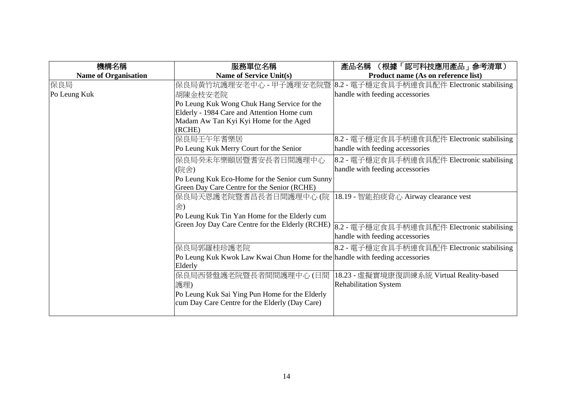| 機構名稱                        | 服務單位名稱                                                                       | 產品名稱<br>(根據「認可科技應用產品」参考清單)                 |
|-----------------------------|------------------------------------------------------------------------------|--------------------------------------------|
| <b>Name of Organisation</b> | <b>Name of Service Unit(s)</b>                                               | Product name (As on reference list)        |
| 保良局                         | 保良局黃竹坑護理安老中心 - 甲子護理安老院暨                                                      | 8.2 - 電子穩定食具手柄連食具配件 Electronic stabilising |
| Po Leung Kuk                | 胡陳金枝安老院                                                                      | handle with feeding accessories            |
|                             | Po Leung Kuk Wong Chuk Hang Service for the                                  |                                            |
|                             | Elderly - 1984 Care and Attention Home cum                                   |                                            |
|                             | Madam Aw Tan Kyi Kyi Home for the Aged                                       |                                            |
|                             | (RCHE)                                                                       |                                            |
|                             | 保良局壬午年耆樂居                                                                    | 8.2 - 電子穩定食具手柄連食具配件 Electronic stabilising |
|                             | Po Leung Kuk Merry Court for the Senior                                      | handle with feeding accessories            |
|                             | 保良局癸未年樂頤居暨耆安長者日間護理中心                                                         | 8.2 - 電子穩定食具手柄連食具配件 Electronic stabilising |
|                             | (院舍)                                                                         | handle with feeding accessories            |
|                             | Po Leung Kuk Eco-Home for the Senior cum Sunny                               |                                            |
|                             | Green Day Care Centre for the Senior (RCHE)                                  |                                            |
|                             | 保良局天恩護老院暨耆昌長者日間護理中心 (院                                                       | 18.19 - 智能拍痰背心 Airway clearance vest       |
|                             | 舍)                                                                           |                                            |
|                             | Po Leung Kuk Tin Yan Home for the Elderly cum                                |                                            |
|                             | Green Joy Day Care Centre for the Elderly (RCHE)                             | 8.2 - 電子穩定食具手柄連食具配件 Electronic stabilising |
|                             |                                                                              | handle with feeding accessories            |
|                             | 保良局郭羅桂珍護老院                                                                   | 8.2 - 電子穩定食具手柄連食具配件 Electronic stabilising |
|                             | Po Leung Kuk Kwok Law Kwai Chun Home for the handle with feeding accessories |                                            |
|                             | Elderly                                                                      |                                            |
|                             | 保良局西營盤護老院暨長者間間護理中心(日間                                                        | 18.23 - 虛擬實境康復訓練系統 Virtual Reality-based   |
|                             | 護理)                                                                          | <b>Rehabilitation System</b>               |
|                             | Po Leung Kuk Sai Ying Pun Home for the Elderly                               |                                            |
|                             | cum Day Care Centre for the Elderly (Day Care)                               |                                            |
|                             |                                                                              |                                            |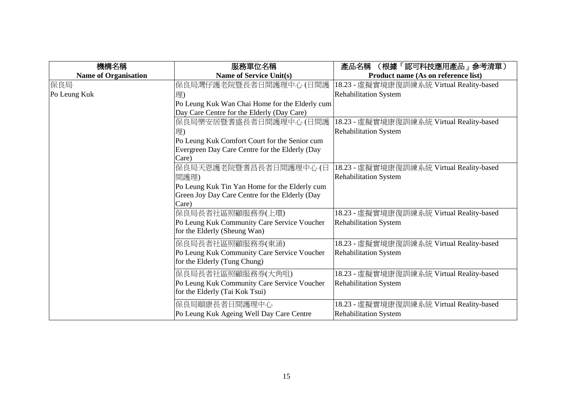| 機構名稱                        | 服務單位名稱                                         | 產品名稱<br>(根據「認可科技應用產品」参考清單)               |
|-----------------------------|------------------------------------------------|------------------------------------------|
| <b>Name of Organisation</b> | <b>Name of Service Unit(s)</b>                 | Product name (As on reference list)      |
| 保良局                         | 保良局灣仔護老院暨長者日間護理中心(日間護                          | 18.23 - 虛擬實境康復訓練系統 Virtual Reality-based |
| Po Leung Kuk                | 理)                                             | <b>Rehabilitation System</b>             |
|                             | Po Leung Kuk Wan Chai Home for the Elderly cum |                                          |
|                             | Day Care Centre for the Elderly (Day Care)     |                                          |
|                             | 保良局樂安居暨耆盛長者日間護理中心(日間護                          | 18.23 - 虛擬實境康復訓練系統 Virtual Reality-based |
|                             | 理)                                             | <b>Rehabilitation System</b>             |
|                             | Po Leung Kuk Comfort Court for the Senior cum  |                                          |
|                             | Evergreen Day Care Centre for the Elderly (Day |                                          |
|                             | Care)                                          |                                          |
|                             | 保良局天恩護老院暨耆昌長者日間護理中心(日                          | 18.23 - 虛擬實境康復訓練系統 Virtual Reality-based |
|                             | 間護理)                                           | <b>Rehabilitation System</b>             |
|                             | Po Leung Kuk Tin Yan Home for the Elderly cum  |                                          |
|                             | Green Joy Day Care Centre for the Elderly (Day |                                          |
|                             | Care)                                          |                                          |
|                             | 保良局長者社區照顧服務券(上環)                               | 18.23 - 虛擬實境康復訓練系統 Virtual Reality-based |
|                             | Po Leung Kuk Community Care Service Voucher    | <b>Rehabilitation System</b>             |
|                             | for the Elderly (Sheung Wan)                   |                                          |
|                             | 保良局長者社區照顧服務券(東涌)                               | 18.23 - 虛擬實境康復訓練系統 Virtual Reality-based |
|                             | Po Leung Kuk Community Care Service Voucher    | <b>Rehabilitation System</b>             |
|                             | for the Elderly (Tung Chung)                   |                                          |
|                             | 保良局長者社區照顧服務券(大角咀)                              | 18.23 - 虛擬實境康復訓練系統 Virtual Reality-based |
|                             | Po Leung Kuk Community Care Service Voucher    | <b>Rehabilitation System</b>             |
|                             | for the Elderly (Tai Kok Tsui)                 |                                          |
|                             | 保良局頤康長者日間護理中心                                  | 18.23 - 虛擬實境康復訓練系統 Virtual Reality-based |
|                             | Po Leung Kuk Ageing Well Day Care Centre       | <b>Rehabilitation System</b>             |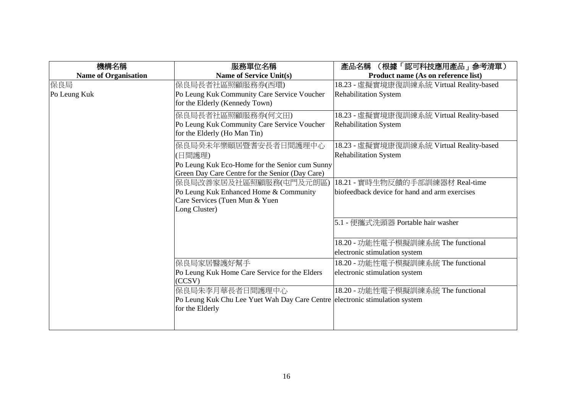| 機構名稱                        | 服務單位名稱                                                                      | 產品名稱<br>(根據「認可科技應用產品」参考清單)                    |
|-----------------------------|-----------------------------------------------------------------------------|-----------------------------------------------|
| <b>Name of Organisation</b> | <b>Name of Service Unit(s)</b>                                              | Product name (As on reference list)           |
| 保良局                         | 保良局長者社區照顧服務券(西環)                                                            | 18.23 - 虛擬實境康復訓練系統 Virtual Reality-based      |
| Po Leung Kuk                | Po Leung Kuk Community Care Service Voucher                                 | <b>Rehabilitation System</b>                  |
|                             | for the Elderly (Kennedy Town)                                              |                                               |
|                             | 保良局長者社區照顧服務券(何文田)                                                           | 18.23 - 虛擬實境康復訓練系統 Virtual Reality-based      |
|                             | Po Leung Kuk Community Care Service Voucher                                 | <b>Rehabilitation System</b>                  |
|                             | for the Elderly (Ho Man Tin)                                                |                                               |
|                             | 保良局癸未年樂頤居暨耆安長者日間護理中心                                                        | 18.23 - 虛擬實境康復訓練系統 Virtual Reality-based      |
|                             | (日間護理)                                                                      | <b>Rehabilitation System</b>                  |
|                             | Po Leung Kuk Eco-Home for the Senior cum Sunny                              |                                               |
|                             | Green Day Care Centre for the Senior (Day Care)                             |                                               |
|                             | 保良局改善家居及社區照顧服務(屯門及元朗區)                                                      | 18.21 - 實時生物反饋的手部訓練器材 Real-time               |
|                             | Po Leung Kuk Enhanced Home & Community                                      | biofeedback device for hand and arm exercises |
|                             | Care Services (Tuen Mun & Yuen                                              |                                               |
|                             | Long Cluster)                                                               |                                               |
|                             |                                                                             | 5.1 - 便攜式洗頭器 Portable hair washer             |
|                             |                                                                             |                                               |
|                             |                                                                             | 18.20 - 功能性電子模擬訓練系統 The functional            |
|                             |                                                                             | electronic stimulation system                 |
|                             | 保良局家居醫護好幫手                                                                  | 18.20 - 功能性電子模擬訓練系統 The functional            |
|                             | Po Leung Kuk Home Care Service for the Elders                               | electronic stimulation system                 |
|                             | (CCSV)                                                                      |                                               |
|                             | 保良局朱李月華長者日間護理中心                                                             | 18.20 - 功能性電子模擬訓練系統 The functional            |
|                             | Po Leung Kuk Chu Lee Yuet Wah Day Care Centre electronic stimulation system |                                               |
|                             | for the Elderly                                                             |                                               |
|                             |                                                                             |                                               |
|                             |                                                                             |                                               |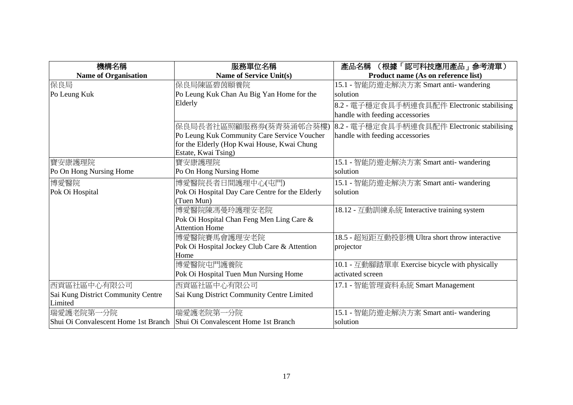| 機構名稱                                                                      | 服務單位名稱                                          | (根據「認可科技應用產品」参考清單)<br>產品名稱                     |
|---------------------------------------------------------------------------|-------------------------------------------------|------------------------------------------------|
| <b>Name of Organisation</b>                                               | <b>Name of Service Unit(s)</b>                  | Product name (As on reference list)            |
| 保良局                                                                       | 保良局陳區碧茵頤養院                                      | 15.1 - 智能防遊走解決方案 Smart anti- wandering         |
| Po Leung Kuk                                                              | Po Leung Kuk Chan Au Big Yan Home for the       | solution                                       |
|                                                                           | Elderly                                         | 8.2 - 電子穩定食具手柄連食具配件 Electronic stabilising     |
|                                                                           |                                                 | handle with feeding accessories                |
|                                                                           | 保良局長者社區照顧服務券(葵青葵涌邨合葵樓)                          | 8.2 - 電子穩定食具手柄連食具配件 Electronic stabilising     |
|                                                                           | Po Leung Kuk Community Care Service Voucher     | handle with feeding accessories                |
|                                                                           | for the Elderly (Hop Kwai House, Kwai Chung     |                                                |
|                                                                           | Estate, Kwai Tsing)                             |                                                |
| 寶安康護理院                                                                    | 寶安康護理院                                          | 15.1 - 智能防遊走解決方案 Smart anti- wandering         |
| Po On Hong Nursing Home                                                   | Po On Hong Nursing Home                         | solution                                       |
| 博愛醫院                                                                      | 博愛醫院長者日間護理中心(屯門)                                | 15.1 - 智能防遊走解決方案 Smart anti- wandering         |
| Pok Oi Hospital                                                           | Pok Oi Hospital Day Care Centre for the Elderly | solution                                       |
|                                                                           | (Tuen Mun)                                      |                                                |
|                                                                           | 博愛醫院陳馮曼玲護理安老院                                   | 18.12 - 互動訓練系統 Interactive training system     |
|                                                                           | Pok Oi Hospital Chan Feng Men Ling Care &       |                                                |
|                                                                           | <b>Attention Home</b>                           |                                                |
|                                                                           | 博愛醫院賽馬會護理安老院                                    | 18.5 - 超短距互動投影機 Ultra short throw interactive  |
|                                                                           | Pok Oi Hospital Jockey Club Care & Attention    | projector                                      |
|                                                                           | Home                                            |                                                |
|                                                                           | 博愛醫院屯門護養院                                       | 10.1 - 互動腳踏單車 Exercise bicycle with physically |
|                                                                           | Pok Oi Hospital Tuen Mun Nursing Home           | activated screen                               |
| 西貢區社區中心有限公司                                                               | 西貢區社區中心有限公司                                     | 17.1 - 智能管理資料系統 Smart Management               |
| Sai Kung District Community Centre                                        | Sai Kung District Community Centre Limited      |                                                |
| Limited                                                                   |                                                 |                                                |
| 瑞愛護老院第一分院                                                                 | 瑞愛護老院第一分院                                       | 15.1 - 智能防遊走解決方案 Smart anti- wandering         |
| Shui Oi Convalescent Home 1st Branch Shui Oi Convalescent Home 1st Branch |                                                 | solution                                       |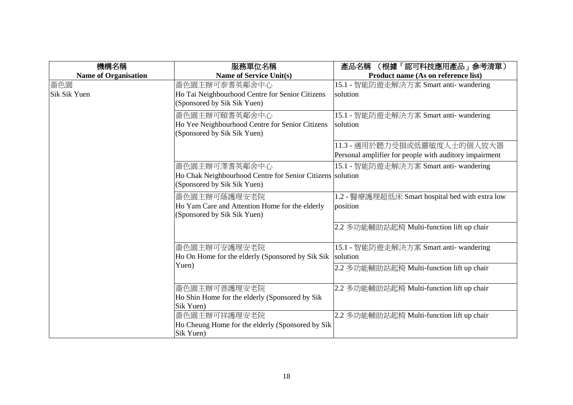| 機構名稱                        | 服務單位名稱                                                                                                    | (根據「認可科技應用產品」 参考清單)<br>產品名稱                                                           |
|-----------------------------|-----------------------------------------------------------------------------------------------------------|---------------------------------------------------------------------------------------|
| <b>Name of Organisation</b> | <b>Name of Service Unit(s)</b>                                                                            | Product name (As on reference list)                                                   |
| 嗇色園<br>Sik Sik Yuen         | 嗇色園主辦可泰耆英鄰舍中心<br>Ho Tai Neighbourhood Centre for Senior Citizens<br>(Sponsored by Sik Sik Yuen)           | 15.1 - 智能防遊走解決方案 Smart anti- wandering<br>solution                                    |
|                             | 嗇色園主辦可頤耆英鄰舍中心<br>Ho Yee Neighbourhood Centre for Senior Citizens<br>(Sponsored by Sik Sik Yuen)           | 15.1 - 智能防遊走解決方案 Smart anti- wandering<br>solution                                    |
|                             |                                                                                                           | 11.3 - 適用於聽力受損或低靈敏度人士的個人放大器<br>Personal amplifier for people with auditory impairment |
|                             | 嗇色園主辦可澤耆英鄰舍中心<br>Ho Chak Neighbourhood Centre for Senior Citizens solution<br>(Sponsored by Sik Sik Yuen) | 15.1 - 智能防遊走解決方案 Smart anti- wandering                                                |
|                             | 嗇色園主辦可蔭護理安老院<br>Ho Yam Care and Attention Home for the elderly<br>(Sponsored by Sik Sik Yuen)             | 1.2 - 醫療護理超低床 Smart hospital bed with extra low<br>position                           |
|                             |                                                                                                           | 2.2 多功能輔助站起椅 Multi-function lift up chair                                             |
|                             | 嗇色園主辦可安護理安老院<br>Ho On Home for the elderly (Sponsored by Sik Sik                                          | 15.1 - 智能防遊走解決方案 Smart anti- wandering<br>solution                                    |
|                             | Yuen)                                                                                                     | 2.2 多功能輔助站起椅 Multi-function lift up chair                                             |
|                             | 嗇色園主辦可善護理安老院<br>Ho Shin Home for the elderly (Sponsored by Sik<br>Sik Yuen)                               | 2.2 多功能輔助站起椅 Multi-function lift up chair                                             |
|                             | 嗇色園主辦可祥護理安老院<br>Ho Cheung Home for the elderly (Sponsored by Sik<br>Sik Yuen)                             | 2.2 多功能輔助站起椅 Multi-function lift up chair                                             |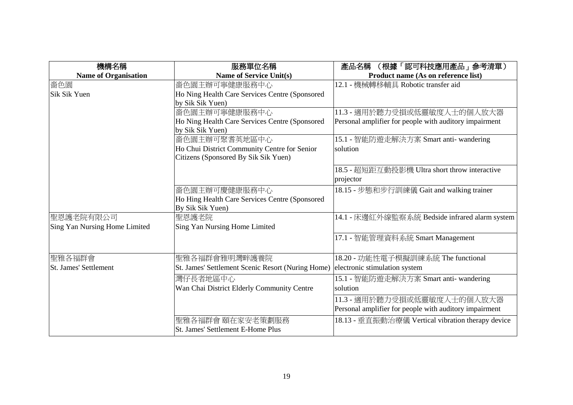| 機構名稱                          | 服務單位名稱                                            | (根據「認可科技應用產品」参考清單)<br>產品名稱                             |
|-------------------------------|---------------------------------------------------|--------------------------------------------------------|
| <b>Name of Organisation</b>   | <b>Name of Service Unit(s)</b>                    | Product name (As on reference list)                    |
| 嗇色園                           | 嗇色園主辦可寧健康服務中心                                     | 12.1 - 機械轉移輔具 Robotic transfer aid                     |
| Sik Sik Yuen                  | Ho Ning Health Care Services Centre (Sponsored    |                                                        |
|                               | by Sik Sik Yuen)                                  |                                                        |
|                               | 嗇色園主辦可寧健康服務中心                                     | 11.3 - 適用於聽力受損或低靈敏度人士的個人放大器                            |
|                               | Ho Ning Health Care Services Centre (Sponsored    | Personal amplifier for people with auditory impairment |
|                               | by Sik Sik Yuen)                                  |                                                        |
|                               | 嗇色園主辦可聚耆英地區中心                                     | 15.1 - 智能防遊走解決方案 Smart anti- wandering                 |
|                               | Ho Chui District Community Centre for Senior      | solution                                               |
|                               | Citizens (Sponsored By Sik Sik Yuen)              |                                                        |
|                               |                                                   | 18.5 - 超短距互動投影機 Ultra short throw interactive          |
|                               |                                                   | projector                                              |
|                               | 嗇色園主辦可慶健康服務中心                                     | 18.15 - 步態和步行訓練儀 Gait and walking trainer              |
|                               | Ho Hing Health Care Services Centre (Sponsored    |                                                        |
|                               | By Sik Sik Yuen)                                  |                                                        |
| 聖恩護老院有限公司                     | 聖恩護老院                                             | 14.1 - 床邊紅外線監察系統 Bedside infrared alarm system         |
| Sing Yan Nursing Home Limited | Sing Yan Nursing Home Limited                     |                                                        |
|                               |                                                   | 17.1 - 智能管理資料系統 Smart Management                       |
|                               |                                                   |                                                        |
| 聖雅各福群會                        | 聖雅各福群會雅明灣畔護養院                                     | 18.20 - 功能性電子模擬訓練系統 The functional                     |
| <b>St. James' Settlement</b>  | St. James' Settlement Scenic Resort (Nuring Home) | electronic stimulation system                          |
|                               | 灣仔長者地區中心                                          | 15.1 - 智能防遊走解決方案 Smart anti- wandering                 |
|                               | Wan Chai District Elderly Community Centre        | solution                                               |
|                               |                                                   | 11.3 - 適用於聽力受損或低靈敏度人士的個人放大器                            |
|                               |                                                   | Personal amplifier for people with auditory impairment |
|                               | 聖雅各福群會 頤在家安老策劃服務                                  | 18.13 - 垂直振動治療儀 Vertical vibration therapy device      |
|                               | St. James' Settlement E-Home Plus                 |                                                        |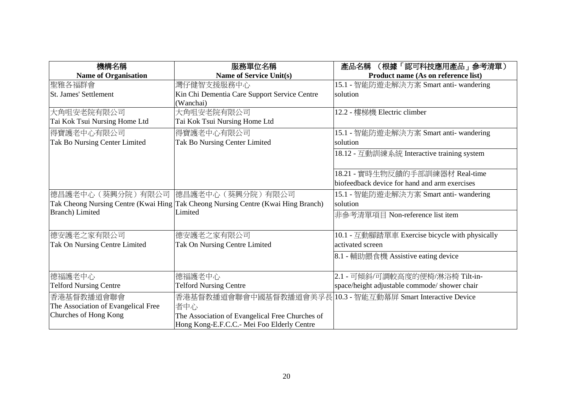| 機構名稱                                | 服務單位名稱                                                                            | (根據「認可科技應用產品」 参考清單)<br>產品名稱                    |
|-------------------------------------|-----------------------------------------------------------------------------------|------------------------------------------------|
| <b>Name of Organisation</b>         | <b>Name of Service Unit(s)</b>                                                    | Product name (As on reference list)            |
| 聖雅各福群會                              | 灣仔健智支援服務中心                                                                        | 15.1 - 智能防遊走解決方案 Smart anti- wandering         |
| <b>St. James' Settlement</b>        | Kin Chi Dementia Care Support Service Centre                                      | solution                                       |
|                                     | (Wanchai)                                                                         |                                                |
| 大角咀安老院有限公司                          | 大角咀安老院有限公司                                                                        | 12.2 - 樓梯機 Electric climber                    |
| Tai Kok Tsui Nursing Home Ltd       | Tai Kok Tsui Nursing Home Ltd                                                     |                                                |
| 得寶護老中心有限公司                          | 得寶護老中心有限公司                                                                        | 15.1 - 智能防遊走解決方案 Smart anti- wandering         |
| Tak Bo Nursing Center Limited       | Tak Bo Nursing Center Limited                                                     | solution                                       |
|                                     |                                                                                   | 18.12 - 互動訓練系統 Interactive training system     |
|                                     |                                                                                   | 18.21 - 實時生物反饋的手部訓練器材 Real-time                |
|                                     |                                                                                   | biofeedback device for hand and arm exercises  |
| 德昌護老中心(葵興分院)有限公司  徳昌護老中心(葵興分院)有限公司  |                                                                                   | 15.1 - 智能防遊走解決方案 Smart anti- wandering         |
|                                     | Tak Cheong Nursing Centre (Kwai Hing Tak Cheong Nursing Centre (Kwai Hing Branch) | solution                                       |
| <b>Branch</b> ) Limited             | Limited                                                                           | 非參考清單項目 Non-reference list item                |
|                                     |                                                                                   |                                                |
| 德安護老之家有限公司                          | 德安護老之家有限公司                                                                        | 10.1 - 互動腳踏單車 Exercise bicycle with physically |
| Tak On Nursing Centre Limited       | Tak On Nursing Centre Limited                                                     | activated screen                               |
|                                     |                                                                                   | 8.1 - 輔助餵食機 Assistive eating device            |
| 德福護老中心                              | 德福護老中心                                                                            | 2.1 - 可傾斜/可調較高度的便椅/淋浴椅 Tilt-in-                |
| <b>Telford Nursing Centre</b>       | <b>Telford Nursing Centre</b>                                                     | space/height adjustable commode/ shower chair  |
| 香港基督教播道會聯會                          | 香港基督教播道會聯會中國基督教播道會美孚長                                                             | 10.3 - 智能互動幕屏 Smart Interactive Device         |
| The Association of Evangelical Free | 者中心                                                                               |                                                |
| Churches of Hong Kong               | The Association of Evangelical Free Churches of                                   |                                                |
|                                     | Hong Kong-E.F.C.C.- Mei Foo Elderly Centre                                        |                                                |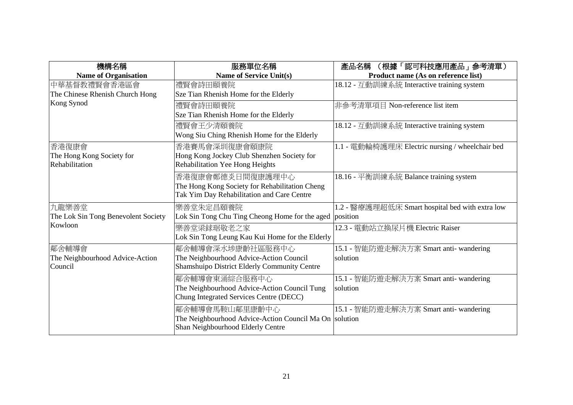| 機構名稱                                | 服務單位名稱                                                  | (根據「認可科技應用產品」参考清單)<br>產品名稱                      |
|-------------------------------------|---------------------------------------------------------|-------------------------------------------------|
| <b>Name of Organisation</b>         | <b>Name of Service Unit(s)</b>                          | Product name (As on reference list)             |
| 中華基督教禮賢會香港區會                        | 禮賢會詩田頤養院                                                | 18.12 - 互動訓練系統 Interactive training system      |
| The Chinese Rhenish Church Hong     | Sze Tian Rhenish Home for the Elderly                   |                                                 |
| Kong Synod                          | 禮賢會詩田頤養院                                                | 非參考清單項目 Non-reference list item                 |
|                                     | Sze Tian Rhenish Home for the Elderly                   |                                                 |
|                                     | 禮賢會王少清頤養院                                               | 18.12 - 互動訓練系統 Interactive training system      |
|                                     | Wong Siu Ching Rhenish Home for the Elderly             |                                                 |
| 香港復康會                               | 香港賽馬會深圳復康會頤康院                                           | 1.1 - 電動輪椅護理床 Electric nursing / wheelchair bed |
| The Hong Kong Society for           | Hong Kong Jockey Club Shenzhen Society for              |                                                 |
| Rehabilitation                      | Rehabilitation Yee Hong Heights                         |                                                 |
|                                     | 香港復康會鄭德炎日間復康護理中心                                        | 18.16 - 平衡訓練系統 Balance training system          |
|                                     | The Hong Kong Society for Rehabilitation Cheng          |                                                 |
|                                     | Tak Yim Day Rehabilitation and Care Centre              |                                                 |
| 九龍樂善堂                               | 樂善堂朱定昌頤養院                                               | 1.2 - 醫療護理超低床 Smart hospital bed with extra low |
| The Lok Sin Tong Benevolent Society | Lok Sin Tong Chu Ting Cheong Home for the aged position |                                                 |
| Kowloon                             | 樂善堂梁銶琚敬老之家                                              | 12.3 - 電動站立換尿片機 Electric Raiser                 |
|                                     | Lok Sin Tong Leung Kau Kui Home for the Elderly         |                                                 |
| 鄰舍輔導會                               | 鄰舍輔導會深水埗康齡社區服務中心                                        | 15.1 - 智能防遊走解決方案 Smart anti- wandering          |
| The Neighbourhood Advice-Action     | The Neighbourhood Advice-Action Council                 | solution                                        |
| Council                             | Shamshuipo District Elderly Community Centre            |                                                 |
|                                     | 鄰舍輔導會東涌綜合服務中心                                           | 15.1 - 智能防遊走解決方案 Smart anti- wandering          |
|                                     | The Neighbourhood Advice-Action Council Tung            | solution                                        |
|                                     | Chung Integrated Services Centre (DECC)                 |                                                 |
|                                     | 鄰舍輔導會馬鞍山鄰里康齡中心                                          | 15.1 - 智能防遊走解決方案 Smart anti- wandering          |
|                                     | The Neighbourhood Advice-Action Council Ma On solution  |                                                 |
|                                     | Shan Neighbourhood Elderly Centre                       |                                                 |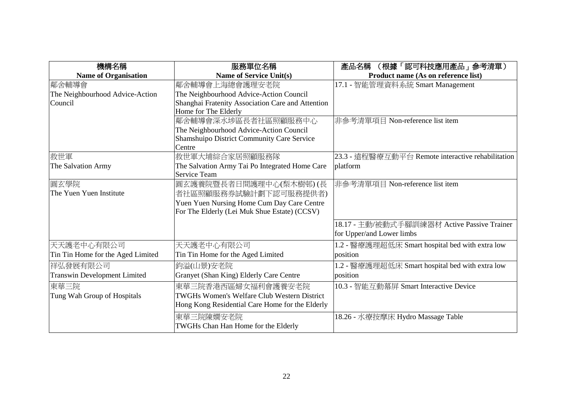| 機構名稱                                | 服務單位名稱                                             | 產品名稱 (根據「認可科技應用產品」參考清單)                           |
|-------------------------------------|----------------------------------------------------|---------------------------------------------------|
| <b>Name of Organisation</b>         | <b>Name of Service Unit(s)</b>                     | Product name (As on reference list)               |
| 鄰舍輔導會                               | 鄰舍輔導會上海總會護理安老院                                     | 17.1 - 智能管理資料系統 Smart Management                  |
| The Neighbourhood Advice-Action     | The Neighbourhood Advice-Action Council            |                                                   |
| Council                             | Shanghai Fratenity Association Care and Attention  |                                                   |
|                                     | Home for The Elderly                               |                                                   |
|                                     | 鄰舍輔導會深水埗區長者社區照顧服務中心                                | 非參考清單項目 Non-reference list item                   |
|                                     | The Neighbourhood Advice-Action Council            |                                                   |
|                                     | Shamshuipo District Community Care Service         |                                                   |
|                                     | Centre                                             |                                                   |
| 救世軍                                 | 救世軍大埔綜合家居照顧服務隊                                     | 23.3 - 遠程醫療互動平台 Remote interactive rehabilitation |
| The Salvation Army                  | The Salvation Army Tai Po Integrated Home Care     | platform                                          |
|                                     | <b>Service Team</b>                                |                                                   |
| 圓玄學院                                | 圓玄護養院暨長者日間護理中心(梨木樹邨)(長                             | 非參考清單項目 Non-reference list item                   |
| The Yuen Yuen Institute             | 者社區照顧服務券試驗計劃下認可服務提供者)                              |                                                   |
|                                     | Yuen Yuen Nursing Home Cum Day Care Centre         |                                                   |
|                                     | For The Elderly (Lei Muk Shue Estate) (CCSV)       |                                                   |
|                                     |                                                    | 18.17 - 主動/被動式手腳訓練器材 Active Passive Trainer       |
|                                     |                                                    | for Upper/and Lower limbs                         |
|                                     |                                                    |                                                   |
| 天天護老中心有限公司                          | 天天護老中心有限公司                                         | 1.2 - 醫療護理超低床 Smart hospital bed with extra low   |
| Tin Tin Home for the Aged Limited   | Tin Tin Home for the Aged Limited                  | position                                          |
| 祥弘發展有限公司                            | 鈞溢(山景)安老院                                          | 1.2 - 醫療護理超低床 Smart hospital bed with extra low   |
| <b>Transwin Development Limited</b> | Granyet (Shan King) Elderly Care Centre            | position                                          |
| 東華三院                                | 東華三院香港西區婦女福利會護養安老院                                 | 10.3 - 智能互動幕屏 Smart Interactive Device            |
| Tung Wah Group of Hospitals         | <b>TWGHs Women's Welfare Club Western District</b> |                                                   |
|                                     | Hong Kong Residential Care Home for the Elderly    |                                                   |
|                                     | 東華三院陳嫺安老院                                          | 18.26 - 水療按摩床 Hydro Massage Table                 |
|                                     | TWGHs Chan Han Home for the Elderly                |                                                   |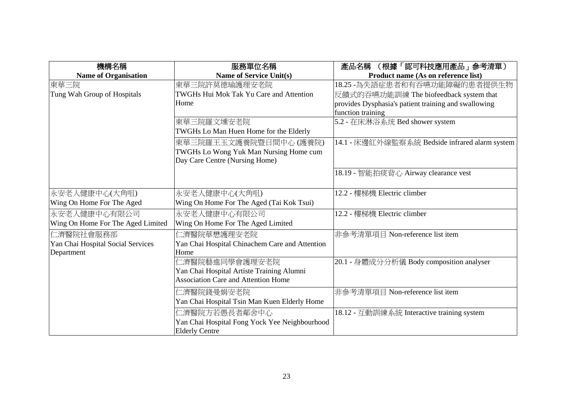| 機構名稱                              | 服務單位名稱                                         | 產品名稱<br>(根據「認可科技應用產品」 参考清單)                          |
|-----------------------------------|------------------------------------------------|------------------------------------------------------|
| <b>Name of Organisation</b>       | <b>Name of Service Unit(s)</b>                 | Product name (As on reference list)                  |
| 東華三院                              | 東華三院許莫德瑜護理安老院                                  | 18.25 -為失語症患者和有吞嚥功能障礙的患者提供生物                         |
| Tung Wah Group of Hospitals       | TWGHs Hui Mok Tak Yu Care and Attention        | 反饋式的吞嚥功能訓練 The biofeedback system that               |
|                                   | Home                                           | provides Dysphasia's patient training and swallowing |
|                                   |                                                | function training                                    |
|                                   | 東華三院羅文壎安老院                                     | 5.2 - 在床淋浴系统 Bed shower system                       |
|                                   | TWGHs Lo Man Huen Home for the Elderly         |                                                      |
|                                   | 東華三院羅王玉文護養院暨日間中心 (護養院)                         | 14.1 - 床邊紅外線監察系統 Bedside infrared alarm system       |
|                                   | TWGHs Lo Wong Yuk Man Nursing Home cum         |                                                      |
|                                   | Day Care Centre (Nursing Home)                 |                                                      |
|                                   |                                                | 18.19 - 智能拍痰背心 Airway clearance vest                 |
|                                   |                                                |                                                      |
| 永安老人健康中心(大角咀)                     | 永安老人健康中心(大角咀)                                  | 12.2 - 樓梯機 Electric climber                          |
| Wing On Home For The Aged         | Wing On Home For The Aged (Tai Kok Tsui)       |                                                      |
| 永安老人健康中心有限公司                      | 永安老人健康中心有限公司                                   | 12.2 - 樓梯機 Electric climber                          |
| Wing On Home For The Aged Limited | Wing On Home For The Aged Limited              |                                                      |
| 仁濟醫院社會服務部                         | 仁濟醫院華懋護理安老院                                    | 非參考清單項目 Non-reference list item                      |
| Yan Chai Hospital Social Services | Yan Chai Hospital Chinachem Care and Attention |                                                      |
| Department                        | Home                                           |                                                      |
|                                   | 仁濟醫院藝進同學會護理安老院                                 | 20.1 - 身體成分分析儀 Body composition analyser             |
|                                   | Yan Chai Hospital Artiste Training Alumni      |                                                      |
|                                   | <b>Association Care and Attention Home</b>     |                                                      |
|                                   | 仁濟醫院錢曼娟安老院                                     | 非參考清單項目 Non-reference list item                      |
|                                   | Yan Chai Hospital Tsin Man Kuen Elderly Home   |                                                      |
|                                   | 仁濟醫院方若愚長者鄰舍中心                                  | 18.12 - 互動訓練系統 Interactive training system           |
|                                   | Yan Chai Hospital Fong Yock Yee Neighbourhood  |                                                      |
|                                   | <b>Elderly Centre</b>                          |                                                      |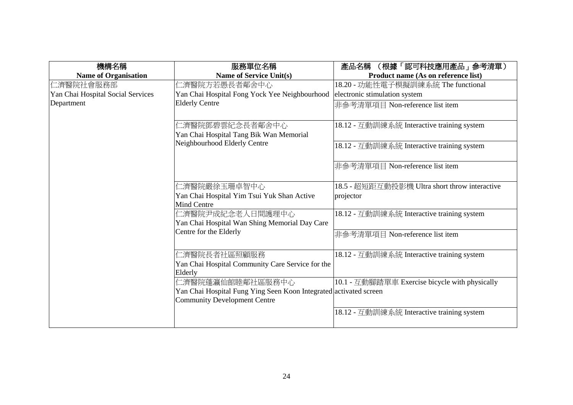| 機構名稱                              | 服務單位名稱                                                                      | 產品名稱<br>(根據「認可科技應用產品」参考清單)                     |
|-----------------------------------|-----------------------------------------------------------------------------|------------------------------------------------|
| <b>Name of Organisation</b>       | <b>Name of Service Unit(s)</b>                                              | Product name (As on reference list)            |
| 二濟醫院社會服務部                         | 二濟醫院方若愚長者鄰舍中心                                                               | 18.20 - 功能性電子模擬訓練系統 The functional             |
| Yan Chai Hospital Social Services | Yan Chai Hospital Fong Yock Yee Neighbourhood                               | electronic stimulation system                  |
| Department                        | <b>Elderly Centre</b>                                                       | 非參考清單項目 Non-reference list item                |
|                                   | 二濟醫院鄧碧雲紀念長者鄰舍中心                                                             | 18.12 - 互動訓練系統 Interactive training system     |
|                                   | Yan Chai Hospital Tang Bik Wan Memorial                                     |                                                |
|                                   | Neighbourhood Elderly Centre                                                | 18.12 - 互動訓練系統 Interactive training system     |
|                                   |                                                                             | 非參考清單項目 Non-reference list item                |
|                                   | 仁濟醫院嚴徐玉珊卓智中心                                                                | 18.5 - 超短距互動投影機 Ultra short throw interactive  |
|                                   | Yan Chai Hospital Yim Tsui Yuk Shan Active                                  | projector                                      |
|                                   | <b>Mind Centre</b>                                                          |                                                |
|                                   | 仁濟醫院尹成紀念老人日間護理中心                                                            | 18.12 - 互動訓練系統 Interactive training system     |
|                                   | Yan Chai Hospital Wan Shing Memorial Day Care                               |                                                |
|                                   | Centre for the Elderly                                                      | 非參考清單項目 Non-reference list item                |
|                                   | 二濟醫院長者社區照顧服務<br>Yan Chai Hospital Community Care Service for the<br>Elderly | 18.12 - 互動訓練系統 Interactive training system     |
|                                   | 二濟醫院蓬瀛仙館睦鄰社區服務中心                                                            | 10.1 - 互動腳踏單車 Exercise bicycle with physically |
|                                   | Yan Chai Hospital Fung Ying Seen Koon Integrated activated screen           |                                                |
|                                   | <b>Community Development Centre</b>                                         |                                                |
|                                   |                                                                             | 18.12 - 互動訓練系統 Interactive training system     |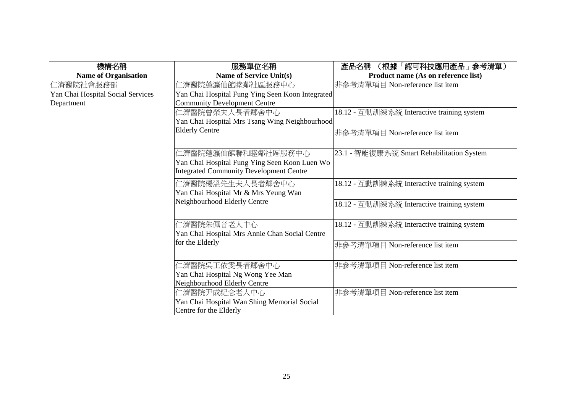| 機構名稱                              | 服務單位名稱                                                            | 產品名稱<br>(根據「認可科技應用產品」参考清單)                 |
|-----------------------------------|-------------------------------------------------------------------|--------------------------------------------|
| <b>Name of Organisation</b>       | <b>Name of Service Unit(s)</b>                                    | Product name (As on reference list)        |
| 仁濟醫院社會服務部                         | 二濟醫院蓬瀛仙館睦鄰社區服務中心                                                  | 非參考清單項目 Non-reference list item            |
| Yan Chai Hospital Social Services | Yan Chai Hospital Fung Ying Seen Koon Integrated                  |                                            |
| Department                        | Community Development Centre                                      |                                            |
|                                   | 二濟醫院曾榮夫人長者鄰舍中心                                                    | 18.12 - 互動訓練系統 Interactive training system |
|                                   | Yan Chai Hospital Mrs Tsang Wing Neighbourhood                    |                                            |
|                                   | <b>Elderly Centre</b>                                             | 非參考清單項目 Non-reference list item            |
|                                   |                                                                   |                                            |
|                                   | 二濟醫院蓬瀛仙館聯和睦鄰社區服務中心                                                | 23.1 - 智能復康系統 Smart Rehabilitation System  |
|                                   | Yan Chai Hospital Fung Ying Seen Koon Luen Wo                     |                                            |
|                                   | Integrated Community Development Centre                           |                                            |
|                                   |                                                                   |                                            |
|                                   | 仁濟醫院楊溫先生夫人長者鄰舍中心                                                  | 18.12 - 互動訓練系統 Interactive training system |
|                                   | Yan Chai Hospital Mr & Mrs Yeung Wan                              |                                            |
|                                   | Neighbourhood Elderly Centre                                      | 18.12 - 互動訓練系統 Interactive training system |
|                                   |                                                                   |                                            |
|                                   | 仁濟醫院朱佩音老人中心                                                       | 18.12 - 互動訓練系統 Interactive training system |
|                                   | Yan Chai Hospital Mrs Annie Chan Social Centre                    |                                            |
|                                   | for the Elderly                                                   | 非參考清單項目 Non-reference list item            |
|                                   |                                                                   |                                            |
|                                   |                                                                   | 非參考清單項目 Non-reference list item            |
|                                   | 仁濟醫院吳王依雯長者鄰舍中心                                                    |                                            |
|                                   | Yan Chai Hospital Ng Wong Yee Man<br>Neighbourhood Elderly Centre |                                            |
|                                   |                                                                   | 非參考清單項目 Non-reference list item            |
|                                   | 仁濟醫院尹成紀念老人中心                                                      |                                            |
|                                   | Yan Chai Hospital Wan Shing Memorial Social                       |                                            |
|                                   | Centre for the Elderly                                            |                                            |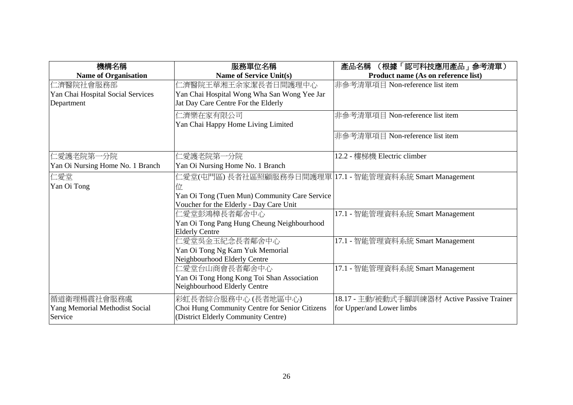| 機構名稱                              | 服務單位名稱                                                  | (根據「認可科技應用產品」 参考清單)<br>產品名稱                 |
|-----------------------------------|---------------------------------------------------------|---------------------------------------------|
| <b>Name of Organisation</b>       | <b>Name of Service Unit(s)</b>                          | Product name (As on reference list)         |
| 仁濟醫院社會服務部                         | 仁濟醫院王華湘王余家潔長者日間護理中心                                     | 非參考清單項目 Non-reference list item             |
| Yan Chai Hospital Social Services | Yan Chai Hospital Wong Wha San Wong Yee Jar             |                                             |
| Department                        | Jat Day Care Centre For the Elderly                     |                                             |
|                                   | 仁濟樂在家有限公司                                               | 非參考清單項目 Non-reference list item             |
|                                   | Yan Chai Happy Home Living Limited                      |                                             |
|                                   |                                                         | 非參考清單項目 Non-reference list item             |
|                                   |                                                         |                                             |
| 仁愛護老院第一分院                         | 仁愛護老院第一分院                                               | 12.2 - 樓梯機 Electric climber                 |
| Yan Oi Nursing Home No. 1 Branch  | Yan Oi Nursing Home No. 1 Branch                        |                                             |
| 仁愛堂                               | 仁愛堂(屯門區)長者社區照顧服務券日間護理單 17.1 - 智能管理資料系統 Smart Management |                                             |
| Yan Oi Tong                       | 位                                                       |                                             |
|                                   | Yan Oi Tong (Tuen Mun) Community Care Service           |                                             |
|                                   | Voucher for the Elderly - Day Care Unit                 |                                             |
|                                   | 仁愛堂彭鴻樟長者鄰舍中心                                            | 17.1 - 智能管理資料系統 Smart Management            |
|                                   | Yan Oi Tong Pang Hung Cheung Neighbourhood              |                                             |
|                                   | <b>Elderly Centre</b>                                   |                                             |
|                                   | 仁愛堂吳金玉紀念長者鄰舍中心                                          | 17.1 - 智能管理資料系統 Smart Management            |
|                                   | Yan Oi Tong Ng Kam Yuk Memorial                         |                                             |
|                                   | Neighbourhood Elderly Centre                            |                                             |
|                                   | 仁愛堂台山商會長者鄰舍中心                                           | 17.1 - 智能管理資料系統 Smart Management            |
|                                   | Yan Oi Tong Hong Kong Toi Shan Association              |                                             |
|                                   | Neighbourhood Elderly Centre                            |                                             |
| 循道衛理楊震社會服務處                       | 彩虹長者綜合服務中心 (長者地區中心)                                     | 18.17 - 主動/被動式手腳訓練器材 Active Passive Trainer |
| Yang Memorial Methodist Social    | Choi Hung Community Centre for Senior Citizens          | for Upper/and Lower limbs                   |
| Service                           | (District Elderly Community Centre)                     |                                             |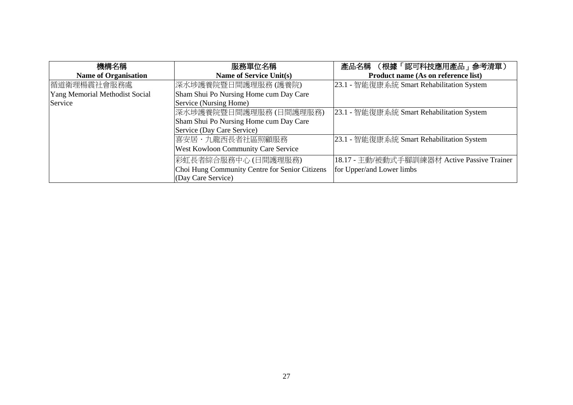| 機構名稱                                  | 服務單位名稱                                         | 產品名稱 (根據「認可科技應用產品」參考清單)                     |
|---------------------------------------|------------------------------------------------|---------------------------------------------|
| <b>Name of Organisation</b>           | Name of Service Unit(s)                        | Product name (As on reference list)         |
| 循道衛理楊震社會服務處                           | 深水埗護養院暨日間護理服務 (護養院)                            | 23.1 - 智能復康系統 Smart Rehabilitation System   |
| <b>Yang Memorial Methodist Social</b> | Sham Shui Po Nursing Home cum Day Care         |                                             |
| Service                               | Service (Nursing Home)                         |                                             |
|                                       | 深水埗護養院暨日間護理服務(日間護理服務)                          | [23.1 - 智能復康系統 Smart Rehabilitation System  |
|                                       | Sham Shui Po Nursing Home cum Day Care         |                                             |
|                                       | Service (Day Care Service)                     |                                             |
|                                       | 喜安居·九龍西長者社區照顧服務                                | [23.1 - 智能復康系統 Smart Rehabilitation System  |
|                                       | West Kowloon Community Care Service            |                                             |
|                                       | 彩虹長者綜合服務中心(日間護理服務)                             | 18.17 - 主動/被動式手腳訓練器材 Active Passive Trainer |
|                                       | Choi Hung Community Centre for Senior Citizens | for Upper/and Lower limbs                   |
|                                       | (Day Care Service)                             |                                             |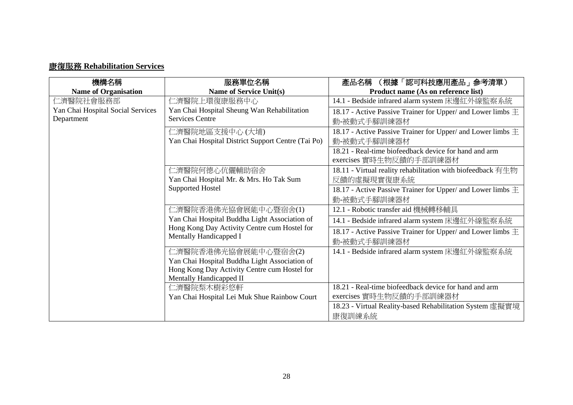## 康復服務 **Rehabilitation Services**

| 機構名稱                              | 服務單位名稱                                                                                                                  | 產品名稱<br>(根據「認可科技應用產品」参考清單)                                      |
|-----------------------------------|-------------------------------------------------------------------------------------------------------------------------|-----------------------------------------------------------------|
| <b>Name of Organisation</b>       | <b>Name of Service Unit(s)</b>                                                                                          | Product name (As on reference list)                             |
| 仁濟醫院社會服務部                         | 仁濟醫院上環復康服務中心                                                                                                            | 14.1 - Bedside infrared alarm system 床邊紅外線監察系統                  |
| Yan Chai Hospital Social Services | Yan Chai Hospital Sheung Wan Rehabilitation                                                                             | 18.17 - Active Passive Trainer for Upper/ and Lower limbs $\pm$ |
| Department                        | <b>Services Centre</b>                                                                                                  | 動-被動式手腳訓練器材                                                     |
|                                   | 仁濟醫院地區支援中心(大埔)                                                                                                          | 18.17 - Active Passive Trainer for Upper/ and Lower limbs $\pm$ |
|                                   | Yan Chai Hospital District Support Centre (Tai Po)                                                                      | 動-被動式手腳訓練器材                                                     |
|                                   |                                                                                                                         | 18.21 - Real-time biofeedback device for hand and arm           |
|                                   |                                                                                                                         | exercises 實時生物反饋的手部訓練器材                                         |
|                                   | 仁濟醫院何德心伉儷輔助宿舍                                                                                                           | 18.11 - Virtual reality rehabilitation with biofeedback 有生物     |
|                                   | Yan Chai Hospital Mr. & Mrs. Ho Tak Sum                                                                                 | 反饋的虛擬現實復康系統                                                     |
|                                   | <b>Supported Hostel</b>                                                                                                 | 18.17 - Active Passive Trainer for Upper/ and Lower limbs $\pm$ |
|                                   |                                                                                                                         | 動-被動式手腳訓練器材                                                     |
|                                   | 仁濟醫院香港佛光協會展能中心暨宿舍(1)                                                                                                    | 12.1 - Robotic transfer aid 機械轉移輔具                              |
|                                   | Yan Chai Hospital Buddha Light Association of<br>Hong Kong Day Activity Centre cum Hostel for<br>Mentally Handicapped I | 14.1 - Bedside infrared alarm system 床邊紅外線監察系統                  |
|                                   |                                                                                                                         | 18.17 - Active Passive Trainer for Upper/ and Lower limbs $\pm$ |
|                                   |                                                                                                                         | 動-被動式手腳訓練器材                                                     |
|                                   | 仁濟醫院香港佛光協會展能中心暨宿舍(2)                                                                                                    | 14.1 - Bedside infrared alarm system 床邊紅外線監察系統                  |
|                                   | Yan Chai Hospital Buddha Light Association of                                                                           |                                                                 |
|                                   | Hong Kong Day Activity Centre cum Hostel for                                                                            |                                                                 |
|                                   | Mentally Handicapped II                                                                                                 | 18.21 - Real-time biofeedback device for hand and arm           |
|                                   | 仁濟醫院梨木樹彩悠軒                                                                                                              | exercises 實時生物反饋的手部訓練器材                                         |
|                                   | Yan Chai Hospital Lei Muk Shue Rainbow Court                                                                            |                                                                 |
|                                   |                                                                                                                         | 18.23 - Virtual Reality-based Rehabilitation System 虛擬實境        |
|                                   |                                                                                                                         | 康復訓練系統                                                          |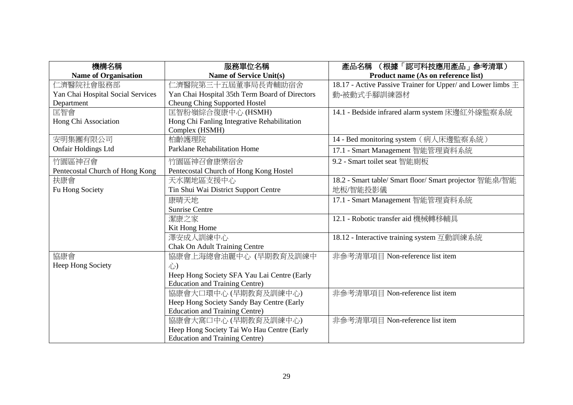| 機構名稱                              | 服務單位名稱                                         | (根據「認可科技應用產品」参考清單)<br>產品名稱                                      |
|-----------------------------------|------------------------------------------------|-----------------------------------------------------------------|
| <b>Name of Organisation</b>       | <b>Name of Service Unit(s)</b>                 | Product name (As on reference list)                             |
| 仁濟醫院社會服務部                         | 仁濟醫院第三十五屆董事局長青輔助宿舍                             | 18.17 - Active Passive Trainer for Upper/ and Lower limbs $\pm$ |
| Yan Chai Hospital Social Services | Yan Chai Hospital 35th Term Board of Directors | 動-被動式手腳訓練器材                                                     |
| Department                        | <b>Cheung Ching Supported Hostel</b>           |                                                                 |
| 匡智會                               | 匡智粉嶺綜合復康中心 (HSMH)                              | 14.1 - Bedside infrared alarm system 床邊紅外線監察系統                  |
| Hong Chi Association              | Hong Chi Fanling Integrative Rehabilitation    |                                                                 |
|                                   | Complex (HSMH)                                 |                                                                 |
| 安明集團有限公司                          | 柏齡護理院                                          | 14 - Bed monitoring system (病人床邊監察系統)                           |
| <b>Onfair Holdings Ltd</b>        | <b>Parklane Rehabilitation Home</b>            | 17.1 - Smart Management 智能管理資料系統                                |
| 竹園區神召會                            | 竹園區神召會康樂宿舍                                     | 9.2 - Smart toilet seat 智能廁板                                    |
| Pentecostal Church of Hong Kong   | Pentecostal Church of Hong Kong Hostel         |                                                                 |
| 扶康會                               | 天水圍地區支援中心                                      | 18.2 - Smart table/ Smart floor/ Smart projector 智能桌/智能         |
| Fu Hong Society                   | Tin Shui Wai District Support Centre           | 地板/智能投影儀                                                        |
|                                   | 康晴天地                                           | 17.1 - Smart Management 智能管理資料系統                                |
|                                   | <b>Sunrise Centre</b>                          |                                                                 |
|                                   | 潔康之家                                           | 12.1 - Robotic transfer aid 機械轉移輔具                              |
|                                   | Kit Hong Home                                  |                                                                 |
|                                   | 澤安成人訓練中心                                       | 18.12 - Interactive training system 互動訓練系統                      |
|                                   | <b>Chak On Adult Training Centre</b>           |                                                                 |
| 協康會                               | 協康會上海總會油麗中心 (早期教育及訓練中                          | 非參考清單項目 Non-reference list item                                 |
| Heep Hong Society                 | 心)                                             |                                                                 |
|                                   | Heep Hong Society SFA Yau Lai Centre (Early    |                                                                 |
|                                   | <b>Education and Training Centre)</b>          |                                                                 |
|                                   | 協康會大口環中心 (早期教育及訓練中心)                           | 非參考清單項目 Non-reference list item                                 |
|                                   | Heep Hong Society Sandy Bay Centre (Early      |                                                                 |
|                                   | <b>Education and Training Centre)</b>          |                                                                 |
|                                   | 協康會大窩口中心 (早期教育及訓練中心)                           | 非參考清單項目 Non-reference list item                                 |
|                                   | Heep Hong Society Tai Wo Hau Centre (Early     |                                                                 |
|                                   | <b>Education and Training Centre)</b>          |                                                                 |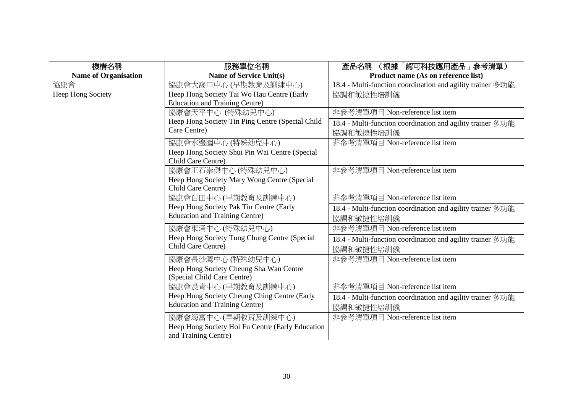| 機構名稱                        | 服務單位名稱                                           | (根據「認可科技應用產品」参考清單)<br>產品名稱                                 |
|-----------------------------|--------------------------------------------------|------------------------------------------------------------|
| <b>Name of Organisation</b> | <b>Name of Service Unit(s)</b>                   | Product name (As on reference list)                        |
| 協康會                         | 協康會大窩口中心 (早期教育及訓練中心)                             | 18.4 - Multi-function coordination and agility trainer 多功能 |
| Heep Hong Society           | Heep Hong Society Tai Wo Hau Centre (Early       | 協調和敏捷性培訓儀                                                  |
|                             | <b>Education and Training Centre)</b>            |                                                            |
|                             | 協康會天平中心 (特殊幼兒中心)                                 | 非參考清單項目 Non-reference list item                            |
|                             | Heep Hong Society Tin Ping Centre (Special Child | 18.4 - Multi-function coordination and agility trainer 多功能 |
|                             | Care Centre)                                     | 協調和敏捷性培訓儀                                                  |
|                             | 協康會水邊圍中心 (特殊幼兒中心)                                | 非參考清單項目 Non-reference list item                            |
|                             | Heep Hong Society Shui Pin Wai Centre (Special   |                                                            |
|                             | Child Care Centre)                               |                                                            |
|                             | 協康會王石崇傑中心 (特殊幼兒中心)                               | 非參考清單項目 Non-reference list item                            |
|                             | Heep Hong Society Mary Wong Centre (Special      |                                                            |
|                             | Child Care Centre)                               |                                                            |
|                             | 協康會白田中心 (早期教育及訓練中心)                              | 非參考清單項目 Non-reference list item                            |
|                             | Heep Hong Society Pak Tin Centre (Early          | 18.4 - Multi-function coordination and agility trainer 多功能 |
|                             | <b>Education and Training Centre)</b>            | 協調和敏捷性培訓儀                                                  |
|                             | 協康會東涌中心 (特殊幼兒中心)                                 | 非參考清單項目 Non-reference list item                            |
|                             | Heep Hong Society Tung Chung Centre (Special     | 18.4 - Multi-function coordination and agility trainer 多功能 |
|                             | Child Care Centre)                               | 協調和敏捷性培訓儀                                                  |
|                             | 協康會長沙灣中心 (特殊幼兒中心)                                | 非參考清單項目 Non-reference list item                            |
|                             | Heep Hong Society Cheung Sha Wan Centre          |                                                            |
|                             | (Special Child Care Centre)                      |                                                            |
|                             | 協康會長青中心 (早期教育及訓練中心)                              | 非參考清單項目 Non-reference list item                            |
|                             | Heep Hong Society Cheung Ching Centre (Early     | 18.4 - Multi-function coordination and agility trainer 多功能 |
|                             | <b>Education and Training Centre)</b>            | 協調和敏捷性培訓儀                                                  |
|                             | 協康會海富中心 (早期教育及訓練中心)                              | 非參考清單項目 Non-reference list item                            |
|                             | Heep Hong Society Hoi Fu Centre (Early Education |                                                            |
|                             | and Training Centre)                             |                                                            |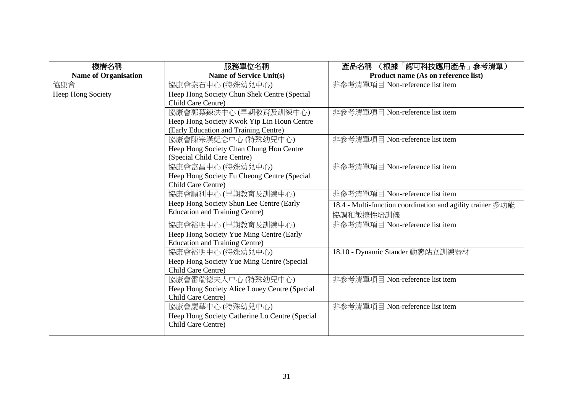| 機構名稱                        | 服務單位名稱                                         | (根據「認可科技應用產品」參考清單)<br>產品名稱                                 |
|-----------------------------|------------------------------------------------|------------------------------------------------------------|
| <b>Name of Organisation</b> | <b>Name of Service Unit(s)</b>                 | Product name (As on reference list)                        |
| 協康會                         | 協康會秦石中心 (特殊幼兒中心)                               | 非參考清單項目 Non-reference list item                            |
| Heep Hong Society           | Heep Hong Society Chun Shek Centre (Special    |                                                            |
|                             | Child Care Centre)                             |                                                            |
|                             | 協康會郭葉鍊洪中心 (早期教育及訓練中心)                          | 非參考清單項目 Non-reference list item                            |
|                             | Heep Hong Society Kwok Yip Lin Houn Centre     |                                                            |
|                             | (Early Education and Training Centre)          |                                                            |
|                             | 協康會陳宗漢紀念中心 (特殊幼兒中心)                            | 非參考清單項目 Non-reference list item                            |
|                             | Heep Hong Society Chan Chung Hon Centre        |                                                            |
|                             | (Special Child Care Centre)                    |                                                            |
|                             | 協康會富昌中心 (特殊幼兒中心)                               | 非參考清單項目 Non-reference list item                            |
|                             | Heep Hong Society Fu Cheong Centre (Special    |                                                            |
|                             | Child Care Centre)                             |                                                            |
|                             | 協康會順利中心 (早期教育及訓練中心)                            | 非參考清單項目 Non-reference list item                            |
|                             | Heep Hong Society Shun Lee Centre (Early       | 18.4 - Multi-function coordination and agility trainer 多功能 |
|                             | <b>Education and Training Centre)</b>          | 協調和敏捷性培訓儀                                                  |
|                             | 協康會裕明中心 (早期教育及訓練中心)                            | 非參考清單項目 Non-reference list item                            |
|                             | Heep Hong Society Yue Ming Centre (Early       |                                                            |
|                             | <b>Education and Training Centre)</b>          |                                                            |
|                             | 協康會裕明中心 (特殊幼兒中心)                               | 18.10 - Dynamic Stander 動態站立訓練器材                           |
|                             | Heep Hong Society Yue Ming Centre (Special     |                                                            |
|                             | Child Care Centre)                             |                                                            |
|                             | 協康會雷瑞德夫人中心 (特殊幼兒中心)                            | 非參考清單項目 Non-reference list item                            |
|                             | Heep Hong Society Alice Louey Centre (Special  |                                                            |
|                             | Child Care Centre)                             |                                                            |
|                             | 協康會慶華中心 (特殊幼兒中心)                               | 非參考清單項目 Non-reference list item                            |
|                             | Heep Hong Society Catherine Lo Centre (Special |                                                            |
|                             | Child Care Centre)                             |                                                            |
|                             |                                                |                                                            |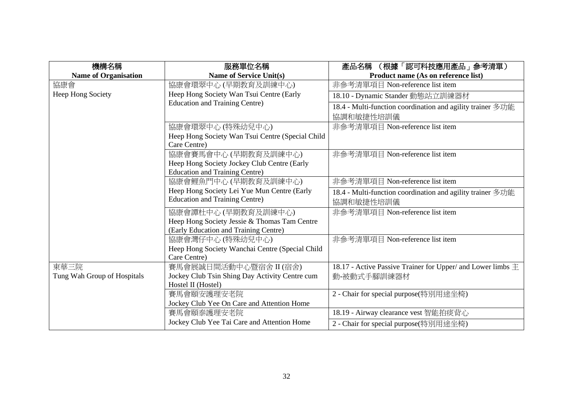| 機構名稱                        | 服務單位名稱                                           | (根據「認可科技應用產品」参考清單)<br>產品名稱                                      |
|-----------------------------|--------------------------------------------------|-----------------------------------------------------------------|
| <b>Name of Organisation</b> | <b>Name of Service Unit(s)</b>                   | Product name (As on reference list)                             |
| 協康會                         | 協康會環翠中心 (早期教育及訓練中心)                              | 非參考清單項目 Non-reference list item                                 |
| Heep Hong Society           | Heep Hong Society Wan Tsui Centre (Early         | 18.10 - Dynamic Stander 動態站立訓練器材                                |
|                             | <b>Education and Training Centre)</b>            | 18.4 - Multi-function coordination and agility trainer 多功能      |
|                             |                                                  | 協調和敏捷性培訓儀                                                       |
|                             | 協康會環翠中心 (特殊幼兒中心)                                 | 非參考清單項目 Non-reference list item                                 |
|                             | Heep Hong Society Wan Tsui Centre (Special Child |                                                                 |
|                             | Care Centre)                                     |                                                                 |
|                             | 協康會賽馬會中心 (早期教育及訓練中心)                             | 非參考清單項目 Non-reference list item                                 |
|                             | Heep Hong Society Jockey Club Centre (Early      |                                                                 |
|                             | <b>Education and Training Centre)</b>            |                                                                 |
|                             | 協康會鯉魚門中心 (早期教育及訓練中心)                             | 非參考清單項目 Non-reference list item                                 |
|                             | Heep Hong Society Lei Yue Mun Centre (Early      | 18.4 - Multi-function coordination and agility trainer 多功能      |
|                             | <b>Education and Training Centre)</b>            | 協調和敏捷性培訓儀                                                       |
|                             | 協康會譚杜中心 (早期教育及訓練中心)                              | 非參考清單項目 Non-reference list item                                 |
|                             | Heep Hong Society Jessie & Thomas Tam Centre     |                                                                 |
|                             | (Early Education and Training Centre)            |                                                                 |
|                             | 協康會灣仔中心(特殊幼兒中心)                                  | 非參考清單項目 Non-reference list item                                 |
|                             | Heep Hong Society Wanchai Centre (Special Child  |                                                                 |
|                             | Care Centre)                                     |                                                                 |
| 東華三院                        | 賽馬會展誠日間活動中心暨宿舍 II (宿舍)                           | 18.17 - Active Passive Trainer for Upper/ and Lower limbs $\pm$ |
| Tung Wah Group of Hospitals | Jockey Club Tsin Shing Day Activity Centre cum   | 動-被動式手腳訓練器材                                                     |
|                             | Hostel II (Hostel)                               |                                                                 |
|                             | 賽馬會頤安護理安老院                                       | 2 - Chair for special purpose(特別用途坐椅)                           |
|                             | Jockey Club Yee On Care and Attention Home       |                                                                 |
|                             | 賽馬會頤泰護理安老院                                       | 18.19 - Airway clearance vest 智能拍痰背心                            |
|                             | Jockey Club Yee Tai Care and Attention Home      | 2 - Chair for special purpose(特別用途坐椅)                           |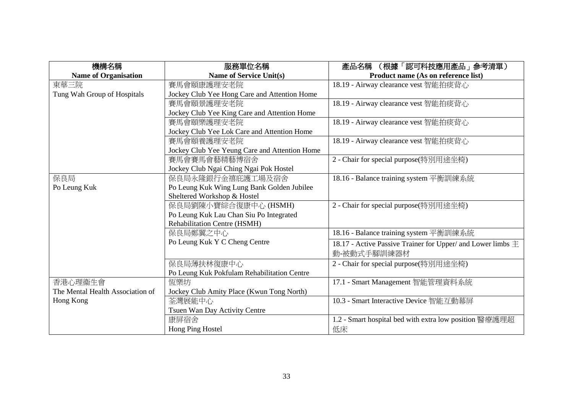| 機構名稱                             | 服務單位名稱                                        | (根據「認可科技應用產品」参考清單)<br>產品名稱                                      |
|----------------------------------|-----------------------------------------------|-----------------------------------------------------------------|
| <b>Name of Organisation</b>      | <b>Name of Service Unit(s)</b>                | Product name (As on reference list)                             |
| 東華三院                             | 賽馬會頤康護理安老院                                    | 18.19 - Airway clearance vest 智能拍痰背心                            |
| Tung Wah Group of Hospitals      | Jockey Club Yee Hong Care and Attention Home  |                                                                 |
|                                  | 賽馬會頤景護理安老院                                    | 18.19 - Airway clearance vest 智能拍痰背心                            |
|                                  | Jockey Club Yee King Care and Attention Home  |                                                                 |
|                                  | 賽馬會頤樂護理安老院                                    | 18.19 - Airway clearance vest 智能拍痰背心                            |
|                                  | Jockey Club Yee Lok Care and Attention Home   |                                                                 |
|                                  | 賽馬會頤養護理安老院                                    | 18.19 - Airway clearance vest 智能拍痰背心                            |
|                                  | Jockey Club Yee Yeung Care and Attention Home |                                                                 |
|                                  | 賽馬會賽馬會藝精藝博宿舍                                  | 2 - Chair for special purpose(特別用途坐椅)                           |
|                                  | Jockey Club Ngai Ching Ngai Pok Hostel        |                                                                 |
| 保良局                              | 保良局永隆銀行金禧庇護工場及宿舍                              | 18.16 - Balance training system 平衡訓練系統                          |
| Po Leung Kuk                     | Po Leung Kuk Wing Lung Bank Golden Jubilee    |                                                                 |
|                                  | Sheltered Workshop & Hostel                   |                                                                 |
|                                  | 保良局劉陳小寶綜合復康中心 (HSMH)                          | 2 - Chair for special purpose(特別用途坐椅)                           |
|                                  | Po Leung Kuk Lau Chan Siu Po Integrated       |                                                                 |
|                                  | Rehabilitation Centre (HSMH)                  |                                                                 |
|                                  | 保良局鄭翼之中心                                      | 18.16 - Balance training system 平衡訓練系統                          |
|                                  | Po Leung Kuk Y C Cheng Centre                 | 18.17 - Active Passive Trainer for Upper/ and Lower limbs $\pm$ |
|                                  |                                               | 動-被動式手腳訓練器材                                                     |
|                                  | 保良局薄扶林復康中心                                    | 2 - Chair for special purpose(特別用途坐椅)                           |
|                                  | Po Leung Kuk Pokfulam Rehabilitation Centre   |                                                                 |
| 香港心理衞生會                          | 恆樂坊                                           | 17.1 - Smart Management 智能管理資料系統                                |
| The Mental Health Association of | Jockey Club Amity Place (Kwun Tong North)     |                                                                 |
| Hong Kong                        | 荃灣展能中心                                        | 10.3 - Smart Interactive Device 智能互動幕屏                          |
|                                  | Tsuen Wan Day Activity Centre                 |                                                                 |
|                                  | 康屏宿舍                                          | 1.2 - Smart hospital bed with extra low position 醫療護理超          |
|                                  | Hong Ping Hostel                              | 低床                                                              |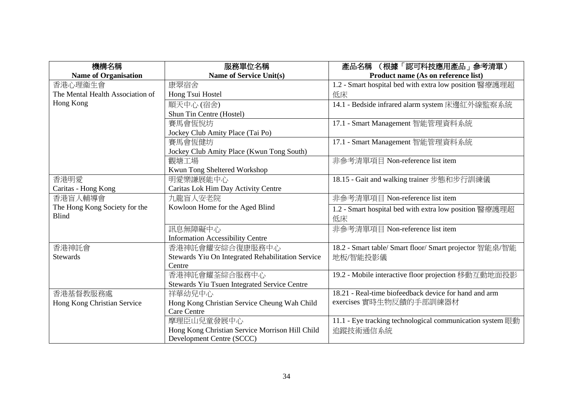| 機構名稱                             | 服務單位名稱                                            | (根據「認可科技應用產品」參考清單)<br>產品名稱                                |
|----------------------------------|---------------------------------------------------|-----------------------------------------------------------|
| <b>Name of Organisation</b>      | <b>Name of Service Unit(s)</b>                    | Product name (As on reference list)                       |
| 香港心理衞生會                          | 康翠宿舍                                              | 1.2 - Smart hospital bed with extra low position 醫療護理超    |
| The Mental Health Association of | Hong Tsui Hostel                                  | 低床                                                        |
| Hong Kong                        | 順天中心(宿舍)                                          | 14.1 - Bedside infrared alarm system 床邊紅外線監察系統            |
|                                  | Shun Tin Centre (Hostel)                          |                                                           |
|                                  | 賽馬會恆悅坊                                            | 17.1 - Smart Management 智能管理資料系統                          |
|                                  | Jockey Club Amity Place (Tai Po)                  |                                                           |
|                                  | 賽馬會恆健坊                                            | 17.1 - Smart Management 智能管理資料系統                          |
|                                  | Jockey Club Amity Place (Kwun Tong South)         |                                                           |
|                                  | 觀塘工場                                              | 非參考清單項目 Non-reference list item                           |
|                                  | Kwun Tong Sheltered Workshop                      |                                                           |
| 香港明愛                             | 明愛樂謙展能中心                                          | 18.15 - Gait and walking trainer 步態和步行訓練儀                 |
| Caritas - Hong Kong              | Caritas Lok Him Day Activity Centre               |                                                           |
| 香港盲人輔導會                          | 九龍盲人安老院                                           | 非參考清單項目 Non-reference list item                           |
| The Hong Kong Society for the    | Kowloon Home for the Aged Blind                   | 1.2 - Smart hospital bed with extra low position 醫療護理超    |
| <b>Blind</b>                     |                                                   | 低床                                                        |
|                                  | 訊息無障礙中心                                           | 非參考清單項目 Non-reference list item                           |
|                                  | <b>Information Accessibility Centre</b>           |                                                           |
| 香港神託會                            | 香港神託會耀安綜合復康服務中心                                   | 18.2 - Smart table/ Smart floor/ Smart projector 智能桌/智能   |
| <b>Stewards</b>                  | Stewards Yiu On Integrated Rehabilitation Service | 地板/智能投影儀                                                  |
|                                  | Centre                                            |                                                           |
|                                  | 香港神託會耀荃綜合服務中心                                     | 19.2 - Mobile interactive floor projection 移動互動地面投影       |
|                                  | Stewards Yiu Tsuen Integrated Service Centre      |                                                           |
| 香港基督教服務處                         | 祥華幼兒中心                                            | 18.21 - Real-time biofeedback device for hand and arm     |
| Hong Kong Christian Service      | Hong Kong Christian Service Cheung Wah Child      | exercises 實時生物反饋的手部訓練器材                                   |
|                                  | <b>Care Centre</b>                                |                                                           |
|                                  | 摩理臣山兒童發展中心                                        | 11.1 - Eye tracking technological communication system 眼動 |
|                                  | Hong Kong Christian Service Morrison Hill Child   | 追蹤技術通信系統                                                  |
|                                  | Development Centre (SCCC)                         |                                                           |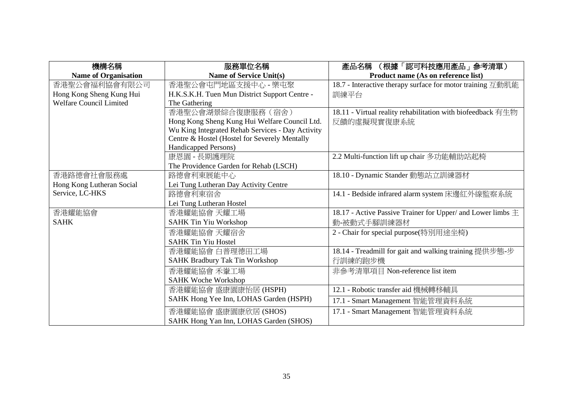| 機構名稱                           | 服務單位名稱                                           | (根據「認可科技應用產品」参考清單)<br>產品名稱                                      |
|--------------------------------|--------------------------------------------------|-----------------------------------------------------------------|
| <b>Name of Organisation</b>    | <b>Name of Service Unit(s)</b>                   | Product name (As on reference list)                             |
| 香港聖公會福利協會有限公司                  | 香港聖公會屯門地區支援中心 - 樂屯聚                              | 18.7 - Interactive therapy surface for motor training 互動肌能      |
| Hong Kong Sheng Kung Hui       | H.K.S.K.H. Tuen Mun District Support Centre -    | 訓練平台                                                            |
| <b>Welfare Council Limited</b> | The Gathering                                    |                                                                 |
|                                | 香港聖公會湖景綜合復康服務(宿舍)                                | 18.11 - Virtual reality rehabilitation with biofeedback 有生物     |
|                                | Hong Kong Sheng Kung Hui Welfare Council Ltd.    | 反饋的虛擬現實復康系統                                                     |
|                                | Wu King Integrated Rehab Services - Day Activity |                                                                 |
|                                | Centre & Hostel (Hostel for Severely Mentally    |                                                                 |
|                                | Handicapped Persons)                             |                                                                 |
|                                | 康恩園 - 長期護理院                                      | 2.2 Multi-function lift up chair 多功能輔助站起椅                       |
|                                | The Providence Garden for Rehab (LSCH)           |                                                                 |
| 香港路德會社會服務處                     | 路德會利東展能中心                                        | 18.10 - Dynamic Stander 動態站立訓練器材                                |
| Hong Kong Lutheran Social      | Lei Tung Lutheran Day Activity Centre            |                                                                 |
| Service, LC-HKS                | 路德會利東宿舍                                          | 14.1 - Bedside infrared alarm system 床邊紅外線監察系統                  |
|                                | Lei Tung Lutheran Hostel                         |                                                                 |
| 香港耀能協會                         | 香港耀能協會 天耀工場                                      | 18.17 - Active Passive Trainer for Upper/ and Lower limbs $\pm$ |
| <b>SAHK</b>                    | <b>SAHK Tin Yiu Workshop</b>                     | 動-被動式手腳訓練器材                                                     |
|                                | 香港耀能協會 天耀宿舍                                      | 2 - Chair for special purpose(特別用途坐椅)                           |
|                                | <b>SAHK Tin Yiu Hostel</b>                       |                                                                 |
|                                | 香港耀能協會 白普理德田工場                                   | 18.14 - Treadmill for gait and walking training 提供步態-步          |
|                                | <b>SAHK Bradbury Tak Tin Workshop</b>            | 行訓練的跑步機                                                         |
|                                | 香港耀能協會 禾輋工場                                      | 非參考清單項目 Non-reference list item                                 |
|                                | <b>SAHK Woche Workshop</b>                       |                                                                 |
|                                | 香港耀能協會盛康園康怡居(HSPH)                               | 12.1 - Robotic transfer aid 機械轉移輔具                              |
|                                | SAHK Hong Yee Inn, LOHAS Garden (HSPH)           | 17.1 - Smart Management 智能管理資料系統                                |
|                                | 香港耀能協會 盛康園康欣居 (SHOS)                             | 17.1 - Smart Management 智能管理資料系統                                |
|                                | SAHK Hong Yan Inn, LOHAS Garden (SHOS)           |                                                                 |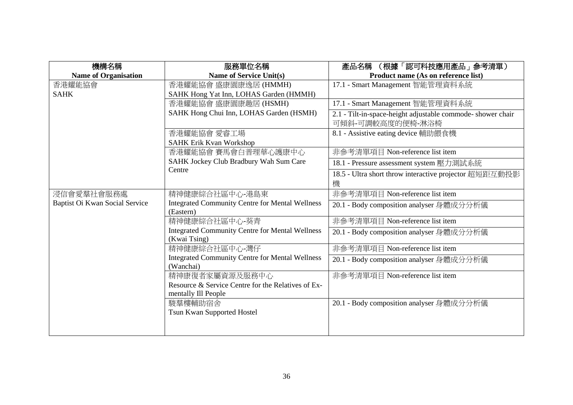| 機構名稱                           | 服務單位名稱                                                                 | (根據「認可科技應用產品」参考清單)<br>產品名稱                                  |
|--------------------------------|------------------------------------------------------------------------|-------------------------------------------------------------|
| <b>Name of Organisation</b>    | <b>Name of Service Unit(s)</b>                                         | Product name (As on reference list)                         |
| 香港耀能協會                         | 香港耀能協會 盛康園康逸居 (HMMH)                                                   | 17.1 - Smart Management 智能管理資料系統                            |
| <b>SAHK</b>                    | SAHK Hong Yat Inn, LOHAS Garden (HMMH)                                 |                                                             |
|                                | 香港耀能協會 盛康園康趣居 (HSMH)                                                   | 17.1 - Smart Management 智能管理資料系統                            |
|                                | SAHK Hong Chui Inn, LOHAS Garden (HSMH)                                | 2.1 - Tilt-in-space-height adjustable commode- shower chair |
|                                |                                                                        | 可傾斜-可調較高度的便椅-淋浴椅                                            |
|                                | 香港耀能協會 愛睿工場                                                            | 8.1 - Assistive eating device 輔助餵食機                         |
|                                | <b>SAHK Erik Kvan Workshop</b>                                         |                                                             |
|                                | 香港耀能協會 賽馬會白普理華心護康中心                                                    | 非參考清單項目 Non-reference list item                             |
|                                | SAHK Jockey Club Bradbury Wah Sum Care                                 | 18.1 - Pressure assessment system 壓力測試系統                    |
|                                | Centre                                                                 | 18.5 - Ultra short throw interactive projector 超短距互動投影      |
|                                |                                                                        | 機                                                           |
| 浸信會愛羣社會服務處                     | 精神健康綜合社區中心-港島東                                                         | 非參考清單項目 Non-reference list item                             |
| Baptist Oi Kwan Social Service | <b>Integrated Community Centre for Mental Wellness</b><br>(Eastern)    | 20.1 - Body composition analyser 身體成分分析儀                    |
|                                | 精神健康綜合社區中心-葵青                                                          | 非參考清單項目 Non-reference list item                             |
|                                | <b>Integrated Community Centre for Mental Wellness</b><br>(Kwai Tsing) | 20.1 - Body composition analyser 身體成分分析儀                    |
|                                | 精神健康綜合社區中心-灣仔                                                          | 非參考清單項目 Non-reference list item                             |
|                                | <b>Integrated Community Centre for Mental Wellness</b><br>(Wanchai)    | 20.1 - Body composition analyser 身體成分分析儀                    |
|                                | 精神康復者家屬資源及服務中心                                                         | 非參考清單項目 Non-reference list item                             |
|                                | Resource & Service Centre for the Relatives of Ex-                     |                                                             |
|                                | mentally Ill People                                                    |                                                             |
|                                | 駿羣樓輔助宿舍                                                                | 20.1 - Body composition analyser 身體成分分析儀                    |
|                                | Tsun Kwan Supported Hostel                                             |                                                             |
|                                |                                                                        |                                                             |
|                                |                                                                        |                                                             |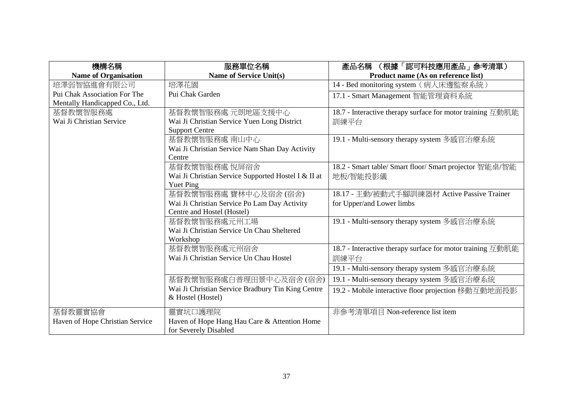| 機構名稱                            | 服務單位名稱                                              | (根據「認可科技應用產品」参考清單)<br>產品名稱                                 |
|---------------------------------|-----------------------------------------------------|------------------------------------------------------------|
| <b>Name of Organisation</b>     | <b>Name of Service Unit(s)</b>                      | Product name (As on reference list)                        |
| 培澤弱智協進會有限公司                     | 培澤花園                                                | 14 - Bed monitoring system (病人床邊監察系統)                      |
| Pui Chak Association For The    | Pui Chak Garden                                     | 17.1 - Smart Management 智能管理資料系統                           |
| Mentally Handicapped Co., Ltd.  |                                                     |                                                            |
| 基督教懷智服務處                        | 基督教懷智服務處 元朗地區支援中心                                   | 18.7 - Interactive therapy surface for motor training 互動肌能 |
| Wai Ji Christian Service        | Wai Ji Christian Service Yuen Long District         | 訓練平台                                                       |
|                                 | <b>Support Centre</b>                               |                                                            |
|                                 | 基督教懷智服務處 南山中心                                       | 19.1 - Multi-sensory therapy system 多感官治療系統                |
|                                 | Wai Ji Christian Service Nam Shan Day Activity      |                                                            |
|                                 | Centre                                              |                                                            |
|                                 | 基督教懷智服務處 悅屏宿舍                                       | 18.2 - Smart table/ Smart floor/ Smart projector 智能桌/智能    |
|                                 | Wai Ji Christian Service Supported Hostel I & II at | 地板/智能投影儀                                                   |
|                                 | <b>Yuet Ping</b>                                    |                                                            |
|                                 | 基督教懷智服務處 寶林中心及宿舍(宿舍)                                | 18.17 - 主動/被動式手腳訓練器材 Active Passive Trainer                |
|                                 | Wai Ji Christian Service Po Lam Day Activity        | for Upper/and Lower limbs                                  |
|                                 | Centre and Hostel (Hostel)                          |                                                            |
|                                 | 基督教懷智服務處元州工場                                        | 19.1 - Multi-sensory therapy system 多感官治療系統                |
|                                 | Wai Ji Christian Service Un Chau Sheltered          |                                                            |
|                                 | Workshop                                            |                                                            |
|                                 | 基督教懷智服務處元州宿舍                                        | 18.7 - Interactive therapy surface for motor training 互動肌能 |
|                                 | Wai Ji Christian Service Un Chau Hostel             | 訓練平台                                                       |
|                                 |                                                     | 19.1 - Multi-sensory therapy system 多感官治療系統                |
|                                 | 基督教懷智服務處白普理田景中心及宿舍(宿舍)                              | 19.1 - Multi-sensory therapy system 多感官治療系統                |
|                                 | Wai Ji Christian Service Bradbury Tin King Centre   | 19.2 - Mobile interactive floor projection 移動互動地面投影        |
|                                 | & Hostel (Hostel)                                   |                                                            |
| 基督教靈實協會                         | 靈實坑口護理院                                             | 非參考清單項目 Non-reference list item                            |
| Haven of Hope Christian Service | Haven of Hope Hang Hau Care & Attention Home        |                                                            |
|                                 | for Severely Disabled                               |                                                            |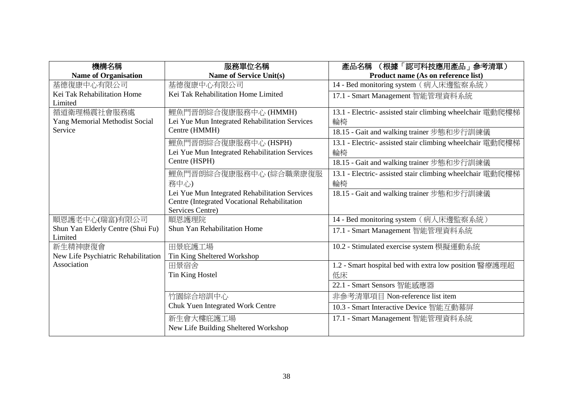| 服務單位名稱                                         | (根據「認可科技應用產品」参考清單)<br>產品名稱                                                                                                                                                                                                                                                                                                                                                                        |
|------------------------------------------------|---------------------------------------------------------------------------------------------------------------------------------------------------------------------------------------------------------------------------------------------------------------------------------------------------------------------------------------------------------------------------------------------------|
| <b>Name of Service Unit(s)</b>                 | Product name (As on reference list)                                                                                                                                                                                                                                                                                                                                                               |
| 基德復康中心有限公司                                     | 14 - Bed monitoring system (病人床邊監察系統)                                                                                                                                                                                                                                                                                                                                                             |
|                                                | 17.1 - Smart Management 智能管理資料系統                                                                                                                                                                                                                                                                                                                                                                  |
|                                                | 13.1 - Electric- assisted stair climbing wheelchair 電動爬樓梯                                                                                                                                                                                                                                                                                                                                         |
|                                                | 輪椅                                                                                                                                                                                                                                                                                                                                                                                                |
|                                                |                                                                                                                                                                                                                                                                                                                                                                                                   |
|                                                | 18.15 - Gait and walking trainer 步態和步行訓練儀                                                                                                                                                                                                                                                                                                                                                         |
|                                                | 13.1 - Electric- assisted stair climbing wheelchair 電動爬樓梯                                                                                                                                                                                                                                                                                                                                         |
|                                                | 輪椅                                                                                                                                                                                                                                                                                                                                                                                                |
|                                                | 18.15 - Gait and walking trainer 步態和步行訓練儀                                                                                                                                                                                                                                                                                                                                                         |
| 鯉魚門晋朗綜合復康服務中心 (綜合職業康復服                         | 13.1 - Electric- assisted stair climbing wheelchair 電動爬樓梯                                                                                                                                                                                                                                                                                                                                         |
| 務中心)                                           | 輪椅                                                                                                                                                                                                                                                                                                                                                                                                |
| Lei Yue Mun Integrated Rehabilitation Services | 18.15 - Gait and walking trainer 步態和步行訓練儀                                                                                                                                                                                                                                                                                                                                                         |
|                                                |                                                                                                                                                                                                                                                                                                                                                                                                   |
|                                                |                                                                                                                                                                                                                                                                                                                                                                                                   |
| 順恩護理院                                          | 14 - Bed monitoring system (病人床邊監察系統)                                                                                                                                                                                                                                                                                                                                                             |
|                                                | 17.1 - Smart Management 智能管理資料系統                                                                                                                                                                                                                                                                                                                                                                  |
|                                                |                                                                                                                                                                                                                                                                                                                                                                                                   |
|                                                | 10.2 - Stimulated exercise system 模擬運動系統                                                                                                                                                                                                                                                                                                                                                          |
|                                                |                                                                                                                                                                                                                                                                                                                                                                                                   |
|                                                | 1.2 - Smart hospital bed with extra low position 醫療護理超                                                                                                                                                                                                                                                                                                                                            |
|                                                | 低床                                                                                                                                                                                                                                                                                                                                                                                                |
|                                                | 22.1 - Smart Sensors 智能感應器                                                                                                                                                                                                                                                                                                                                                                        |
| 竹園綜合培訓中心                                       | 非參考清單項目 Non-reference list item                                                                                                                                                                                                                                                                                                                                                                   |
| Chuk Yuen Integrated Work Centre               | 10.3 - Smart Interactive Device 智能互動幕屏                                                                                                                                                                                                                                                                                                                                                            |
| 新生會大樓庇護工場                                      | 17.1 - Smart Management 智能管理資料系統                                                                                                                                                                                                                                                                                                                                                                  |
| New Life Building Sheltered Workshop           |                                                                                                                                                                                                                                                                                                                                                                                                   |
|                                                | Kei Tak Rehabilitation Home Limited<br>鯉魚門晋朗綜合復康服務中心 (HMMH)<br>Lei Yue Mun Integrated Rehabilitation Services<br>Centre (HMMH)<br>鯉魚門晋朗綜合復康服務中心 (HSPH)<br>Lei Yue Mun Integrated Rehabilitation Services<br>Centre (HSPH)<br>Centre (Integrated Vocational Rehabilitation<br>Services Centre)<br>Shun Yan Rehabilitation Home<br>田景庇護工場<br>Tin King Sheltered Workshop<br>田景宿舍<br>Tin King Hostel |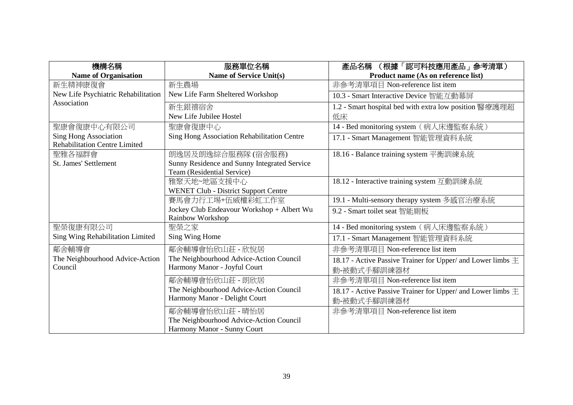| 機構名稱                                 | 服務單位名稱                                       | (根據「認可科技應用產品」参考清單)<br>產品名稱                                      |
|--------------------------------------|----------------------------------------------|-----------------------------------------------------------------|
| <b>Name of Organisation</b>          | Name of Service Unit(s)                      | Product name (As on reference list)                             |
| 新生精神康復會                              | 新生農場                                         | 非參考清單項目 Non-reference list item                                 |
| New Life Psychiatric Rehabilitation  | New Life Farm Sheltered Workshop             | 10.3 - Smart Interactive Device 智能互動幕屏                          |
| Association                          | 新生銀禧宿舍                                       | 1.2 - Smart hospital bed with extra low position 醫療護理超          |
|                                      | New Life Jubilee Hostel                      | 低床                                                              |
| 聖康會復康中心有限公司                          | 聖康會復康中心                                      | 14 - Bed monitoring system (病人床邊監察系統)                           |
| <b>Sing Hong Association</b>         | Sing Hong Association Rehabilitation Centre  | 17.1 - Smart Management 智能管理資料系統                                |
| <b>Rehabilitation Centre Limited</b> |                                              |                                                                 |
| 聖雅各福群會                               | 朗逸居及朗逸綜合服務隊(宿舍服務)                            | 18.16 - Balance training system 平衡訓練系統                          |
| St. James' Settlement                | Sunny Residence and Sunny Integrated Service |                                                                 |
|                                      | Team (Residential Service)                   |                                                                 |
|                                      | 雅聚天地~地區支援中心                                  | 18.12 - Interactive training system 互動訓練系統                      |
|                                      | <b>WENET Club - District Support Centre</b>  |                                                                 |
|                                      | 賽馬會力行工場+伍威權彩虹工作室                             | 19.1 - Multi-sensory therapy system 多感官治療系統                     |
|                                      | Jockey Club Endeavour Workshop + Albert Wu   | 9.2 - Smart toilet seat 智能廁板                                    |
|                                      | <b>Rainbow Workshop</b>                      |                                                                 |
| 聖榮復康有限公司                             | 聖榮之家                                         | 14 - Bed monitoring system (病人床邊監察系統)                           |
| Sing Wing Rehabilitation Limited     | Sing Wing Home                               | 17.1 - Smart Management 智能管理資料系統                                |
| 鄰舍輔導會                                | 鄰舍輔導會怡欣山莊 - 欣悅居                              | 非參考清單項目 Non-reference list item                                 |
| The Neighbourhood Advice-Action      | The Neighbourhood Advice-Action Council      | 18.17 - Active Passive Trainer for Upper/ and Lower limbs $\pm$ |
| Council                              | Harmony Manor - Joyful Court                 | 動-被動式手腳訓練器材                                                     |
|                                      | 鄰舍輔導會怡欣山莊 - 朗欣居                              | 非參考清單項目 Non-reference list item                                 |
|                                      | The Neighbourhood Advice-Action Council      | 18.17 - Active Passive Trainer for Upper/ and Lower limbs $\pm$ |
|                                      | Harmony Manor - Delight Court                | 動-被動式手腳訓練器材                                                     |
|                                      | 鄰舍輔導會怡欣山莊 - 晴怡居                              | 非參考清單項目 Non-reference list item                                 |
|                                      | The Neighbourhood Advice-Action Council      |                                                                 |
|                                      | Harmony Manor - Sunny Court                  |                                                                 |